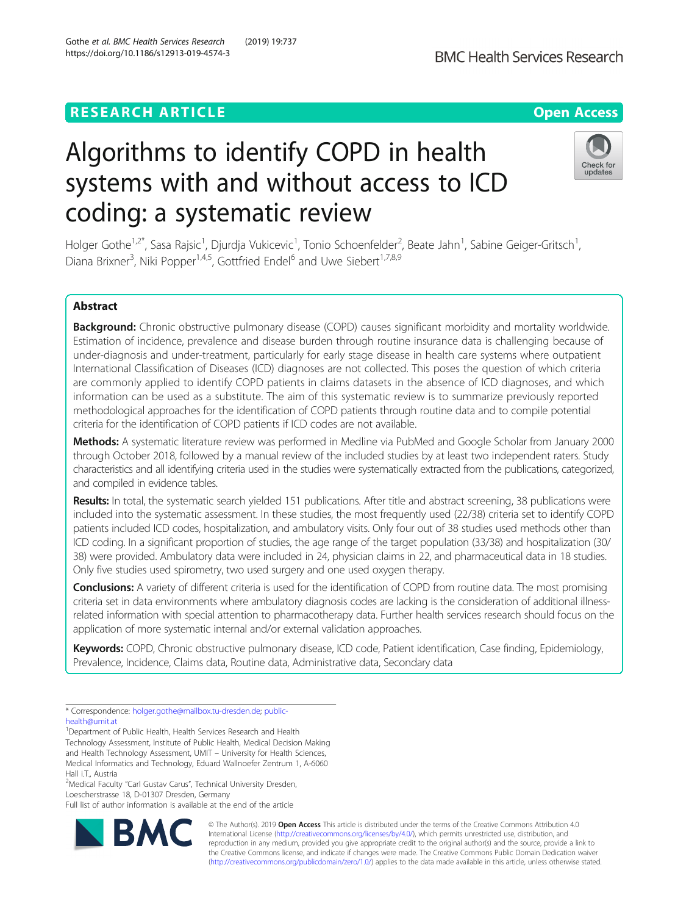# **RESEARCH ARTICLE Example 2014 12:30 The Contract of Contract ACCESS**

# Algorithms to identify COPD in health systems with and without access to ICD coding: a systematic review

Holger Gothe<sup>1,2\*</sup>, Sasa Rajsic<sup>1</sup>, Djurdja Vukicevic<sup>1</sup>, Tonio Schoenfelder<sup>2</sup>, Beate Jahn<sup>1</sup>, Sabine Geiger-Gritsch<sup>1</sup> , Diana Brixner<sup>3</sup>, Niki Popper<sup>1,4,5</sup>, Gottfried Endel<sup>6</sup> and Uwe Siebert<sup>1,7,8,9</sup>

# Abstract

Background: Chronic obstructive pulmonary disease (COPD) causes significant morbidity and mortality worldwide. Estimation of incidence, prevalence and disease burden through routine insurance data is challenging because of under-diagnosis and under-treatment, particularly for early stage disease in health care systems where outpatient International Classification of Diseases (ICD) diagnoses are not collected. This poses the question of which criteria are commonly applied to identify COPD patients in claims datasets in the absence of ICD diagnoses, and which information can be used as a substitute. The aim of this systematic review is to summarize previously reported methodological approaches for the identification of COPD patients through routine data and to compile potential criteria for the identification of COPD patients if ICD codes are not available.

Methods: A systematic literature review was performed in Medline via PubMed and Google Scholar from January 2000 through October 2018, followed by a manual review of the included studies by at least two independent raters. Study characteristics and all identifying criteria used in the studies were systematically extracted from the publications, categorized, and compiled in evidence tables.

Results: In total, the systematic search yielded 151 publications. After title and abstract screening, 38 publications were included into the systematic assessment. In these studies, the most frequently used (22/38) criteria set to identify COPD patients included ICD codes, hospitalization, and ambulatory visits. Only four out of 38 studies used methods other than ICD coding. In a significant proportion of studies, the age range of the target population (33/38) and hospitalization (30/ 38) were provided. Ambulatory data were included in 24, physician claims in 22, and pharmaceutical data in 18 studies. Only five studies used spirometry, two used surgery and one used oxygen therapy.

Conclusions: A variety of different criteria is used for the identification of COPD from routine data. The most promising criteria set in data environments where ambulatory diagnosis codes are lacking is the consideration of additional illnessrelated information with special attention to pharmacotherapy data. Further health services research should focus on the application of more systematic internal and/or external validation approaches.

Keywords: COPD, Chronic obstructive pulmonary disease, ICD code, Patient identification, Case finding, Epidemiology, Prevalence, Incidence, Claims data, Routine data, Administrative data, Secondary data

[health@umit.at](mailto:public-health@umit.at)

<sup>1</sup>Department of Public Health, Health Services Research and Health Technology Assessment, Institute of Public Health, Medical Decision Making and Health Technology Assessment, UMIT – University for Health Sciences, Medical Informatics and Technology, Eduard Wallnoefer Zentrum 1, A-6060 Hall i.T., Austria

<sup>2</sup>Medical Faculty "Carl Gustav Carus", Technical University Dresden, Loescherstrasse 18, D-01307 Dresden, Germany

Full list of author information is available at the end of the article

RA

© The Author(s). 2019 **Open Access** This article is distributed under the terms of the Creative Commons Attribution 4.0 International License [\(http://creativecommons.org/licenses/by/4.0/](http://creativecommons.org/licenses/by/4.0/)), which permits unrestricted use, distribution, and reproduction in any medium, provided you give appropriate credit to the original author(s) and the source, provide a link to the Creative Commons license, and indicate if changes were made. The Creative Commons Public Domain Dedication waiver [\(http://creativecommons.org/publicdomain/zero/1.0/](http://creativecommons.org/publicdomain/zero/1.0/)) applies to the data made available in this article, unless otherwise stated.







<sup>\*</sup> Correspondence: [holger.gothe@mailbox.tu-dresden.de](mailto:holger.gothe@mailbox.tu-dresden.de); [public-](mailto:public-health@umit.at)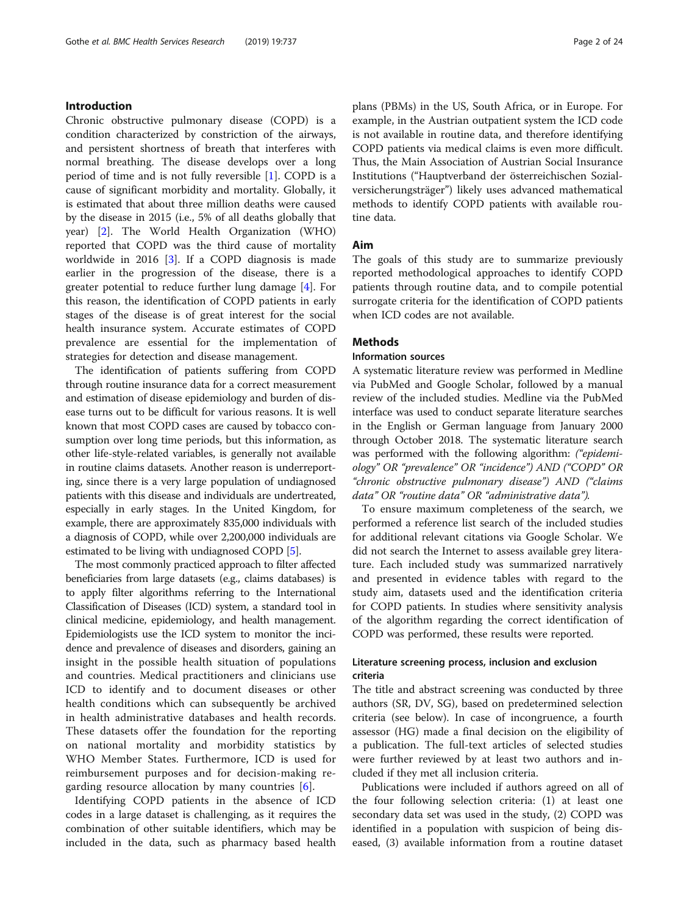# Introduction

Chronic obstructive pulmonary disease (COPD) is a condition characterized by constriction of the airways, and persistent shortness of breath that interferes with normal breathing. The disease develops over a long period of time and is not fully reversible [\[1](#page-22-0)]. COPD is a cause of significant morbidity and mortality. Globally, it is estimated that about three million deaths were caused by the disease in 2015 (i.e., 5% of all deaths globally that year) [\[2](#page-22-0)]. The World Health Organization (WHO) reported that COPD was the third cause of mortality worldwide in 2016 [[3](#page-22-0)]. If a COPD diagnosis is made earlier in the progression of the disease, there is a greater potential to reduce further lung damage [[4\]](#page-22-0). For this reason, the identification of COPD patients in early stages of the disease is of great interest for the social health insurance system. Accurate estimates of COPD prevalence are essential for the implementation of strategies for detection and disease management.

The identification of patients suffering from COPD through routine insurance data for a correct measurement and estimation of disease epidemiology and burden of disease turns out to be difficult for various reasons. It is well known that most COPD cases are caused by tobacco consumption over long time periods, but this information, as other life-style-related variables, is generally not available in routine claims datasets. Another reason is underreporting, since there is a very large population of undiagnosed patients with this disease and individuals are undertreated, especially in early stages. In the United Kingdom, for example, there are approximately 835,000 individuals with a diagnosis of COPD, while over 2,200,000 individuals are estimated to be living with undiagnosed COPD [[5](#page-22-0)].

The most commonly practiced approach to filter affected beneficiaries from large datasets (e.g., claims databases) is to apply filter algorithms referring to the International Classification of Diseases (ICD) system, a standard tool in clinical medicine, epidemiology, and health management. Epidemiologists use the ICD system to monitor the incidence and prevalence of diseases and disorders, gaining an insight in the possible health situation of populations and countries. Medical practitioners and clinicians use ICD to identify and to document diseases or other health conditions which can subsequently be archived in health administrative databases and health records. These datasets offer the foundation for the reporting on national mortality and morbidity statistics by WHO Member States. Furthermore, ICD is used for reimbursement purposes and for decision-making regarding resource allocation by many countries [[6\]](#page-22-0).

Identifying COPD patients in the absence of ICD codes in a large dataset is challenging, as it requires the combination of other suitable identifiers, which may be included in the data, such as pharmacy based health plans (PBMs) in the US, South Africa, or in Europe. For example, in the Austrian outpatient system the ICD code is not available in routine data, and therefore identifying COPD patients via medical claims is even more difficult. Thus, the Main Association of Austrian Social Insurance Institutions ("Hauptverband der österreichischen Sozialversicherungsträger") likely uses advanced mathematical methods to identify COPD patients with available routine data.

# Aim

The goals of this study are to summarize previously reported methodological approaches to identify COPD patients through routine data, and to compile potential surrogate criteria for the identification of COPD patients when ICD codes are not available.

# **Methods**

## Information sources

A systematic literature review was performed in Medline via PubMed and Google Scholar, followed by a manual review of the included studies. Medline via the PubMed interface was used to conduct separate literature searches in the English or German language from January 2000 through October 2018. The systematic literature search was performed with the following algorithm: ("epidemiology" OR "prevalence" OR "incidence") AND ("COPD" OR "chronic obstructive pulmonary disease") AND ("claims data" OR "routine data" OR "administrative data").

To ensure maximum completeness of the search, we performed a reference list search of the included studies for additional relevant citations via Google Scholar. We did not search the Internet to assess available grey literature. Each included study was summarized narratively and presented in evidence tables with regard to the study aim, datasets used and the identification criteria for COPD patients. In studies where sensitivity analysis of the algorithm regarding the correct identification of COPD was performed, these results were reported.

# Literature screening process, inclusion and exclusion criteria

The title and abstract screening was conducted by three authors (SR, DV, SG), based on predetermined selection criteria (see below). In case of incongruence, a fourth assessor (HG) made a final decision on the eligibility of a publication. The full-text articles of selected studies were further reviewed by at least two authors and included if they met all inclusion criteria.

Publications were included if authors agreed on all of the four following selection criteria: (1) at least one secondary data set was used in the study, (2) COPD was identified in a population with suspicion of being diseased, (3) available information from a routine dataset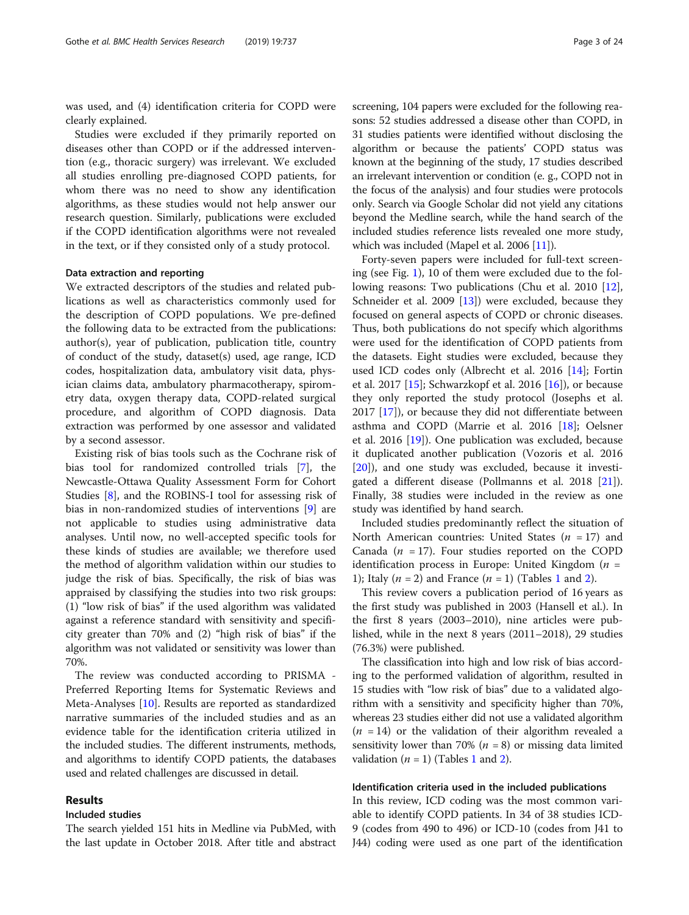was used, and (4) identification criteria for COPD were clearly explained.

Studies were excluded if they primarily reported on diseases other than COPD or if the addressed intervention (e.g., thoracic surgery) was irrelevant. We excluded all studies enrolling pre-diagnosed COPD patients, for whom there was no need to show any identification algorithms, as these studies would not help answer our research question. Similarly, publications were excluded if the COPD identification algorithms were not revealed in the text, or if they consisted only of a study protocol.

#### Data extraction and reporting

We extracted descriptors of the studies and related publications as well as characteristics commonly used for the description of COPD populations. We pre-defined the following data to be extracted from the publications: author(s), year of publication, publication title, country of conduct of the study, dataset(s) used, age range, ICD codes, hospitalization data, ambulatory visit data, physician claims data, ambulatory pharmacotherapy, spirometry data, oxygen therapy data, COPD-related surgical procedure, and algorithm of COPD diagnosis. Data extraction was performed by one assessor and validated by a second assessor.

Existing risk of bias tools such as the Cochrane risk of bias tool for randomized controlled trials [[7\]](#page-22-0), the Newcastle-Ottawa Quality Assessment Form for Cohort Studies [\[8\]](#page-22-0), and the ROBINS-I tool for assessing risk of bias in non-randomized studies of interventions [[9\]](#page-22-0) are not applicable to studies using administrative data analyses. Until now, no well-accepted specific tools for these kinds of studies are available; we therefore used the method of algorithm validation within our studies to judge the risk of bias. Specifically, the risk of bias was appraised by classifying the studies into two risk groups: (1) "low risk of bias" if the used algorithm was validated against a reference standard with sensitivity and specificity greater than 70% and (2) "high risk of bias" if the algorithm was not validated or sensitivity was lower than 70%.

The review was conducted according to PRISMA - Preferred Reporting Items for Systematic Reviews and Meta-Analyses [\[10](#page-22-0)]. Results are reported as standardized narrative summaries of the included studies and as an evidence table for the identification criteria utilized in the included studies. The different instruments, methods, and algorithms to identify COPD patients, the databases used and related challenges are discussed in detail.

## Results

# Included studies

The search yielded 151 hits in Medline via PubMed, with the last update in October 2018. After title and abstract screening, 104 papers were excluded for the following reasons: 52 studies addressed a disease other than COPD, in 31 studies patients were identified without disclosing the algorithm or because the patients' COPD status was known at the beginning of the study, 17 studies described an irrelevant intervention or condition (e. g., COPD not in the focus of the analysis) and four studies were protocols only. Search via Google Scholar did not yield any citations beyond the Medline search, while the hand search of the included studies reference lists revealed one more study, which was included (Mapel et al. 2006 [\[11\]](#page-22-0)).

Forty-seven papers were included for full-text screening (see Fig. [1\)](#page-3-0), 10 of them were excluded due to the fol-lowing reasons: Two publications (Chu et al. 2010 [\[12](#page-22-0)], Schneider et al. 2009 [\[13\]](#page-22-0)) were excluded, because they focused on general aspects of COPD or chronic diseases. Thus, both publications do not specify which algorithms were used for the identification of COPD patients from the datasets. Eight studies were excluded, because they used ICD codes only (Albrecht et al. 2016 [\[14\]](#page-22-0); Fortin et al. 2017  $[15]$  $[15]$ ; Schwarzkopf et al. 2016  $[16]$  $[16]$ ), or because they only reported the study protocol (Josephs et al. 2017 [[17](#page-22-0)]), or because they did not differentiate between asthma and COPD (Marrie et al. 2016 [[18\]](#page-22-0); Oelsner et al. 2016 [[19](#page-22-0)]). One publication was excluded, because it duplicated another publication (Vozoris et al. 2016 [[20\]](#page-22-0)), and one study was excluded, because it investigated a different disease (Pollmanns et al. 2018 [\[21](#page-22-0)]). Finally, 38 studies were included in the review as one study was identified by hand search.

Included studies predominantly reflect the situation of North American countries: United States ( $n = 17$ ) and Canada ( $n = 17$ ). Four studies reported on the COPD identification process in Europe: United Kingdom  $(n =$ [1](#page-4-0)); Italy  $(n = 2)$  $(n = 2)$  and France  $(n = 1)$  (Tables 1 and 2).

This review covers a publication period of 16 years as the first study was published in 2003 (Hansell et al.). In the first 8 years (2003–2010), nine articles were published, while in the next 8 years (2011–2018), 29 studies (76.3%) were published.

The classification into high and low risk of bias according to the performed validation of algorithm, resulted in 15 studies with "low risk of bias" due to a validated algorithm with a sensitivity and specificity higher than 70%, whereas 23 studies either did not use a validated algorithm  $(n = 14)$  or the validation of their algorithm revealed a sensitivity lower than 70% ( $n = 8$ ) or missing data limited validation  $(n = 1)$  $(n = 1)$  $(n = 1)$  (Tables 1 and [2](#page-10-0)).

# Identification criteria used in the included publications

In this review, ICD coding was the most common variable to identify COPD patients. In 34 of 38 studies ICD-9 (codes from 490 to 496) or ICD-10 (codes from J41 to J44) coding were used as one part of the identification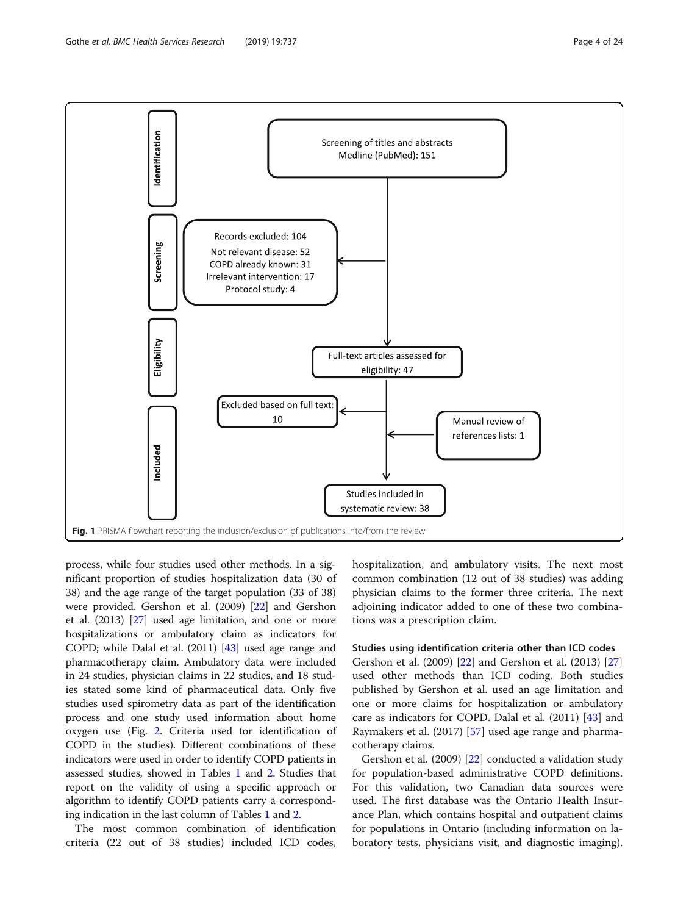<span id="page-3-0"></span>

process, while four studies used other methods. In a significant proportion of studies hospitalization data (30 of 38) and the age range of the target population (33 of 38) were provided. Gershon et al. (2009) [\[22](#page-22-0)] and Gershon et al. (2013) [[27](#page-22-0)] used age limitation, and one or more hospitalizations or ambulatory claim as indicators for COPD; while Dalal et al. (2011) [\[43\]](#page-23-0) used age range and pharmacotherapy claim. Ambulatory data were included in 24 studies, physician claims in 22 studies, and 18 studies stated some kind of pharmaceutical data. Only five studies used spirometry data as part of the identification process and one study used information about home oxygen use (Fig. [2](#page-19-0). Criteria used for identification of COPD in the studies). Different combinations of these indicators were used in order to identify COPD patients in assessed studies, showed in Tables [1](#page-4-0) and [2.](#page-10-0) Studies that report on the validity of using a specific approach or algorithm to identify COPD patients carry a corresponding indication in the last column of Tables [1](#page-4-0) and [2](#page-10-0).

The most common combination of identification criteria (22 out of 38 studies) included ICD codes, hospitalization, and ambulatory visits. The next most common combination (12 out of 38 studies) was adding physician claims to the former three criteria. The next adjoining indicator added to one of these two combinations was a prescription claim.

#### Studies using identification criteria other than ICD codes

Gershon et al. (2009) [\[22\]](#page-22-0) and Gershon et al. (2013) [[27](#page-22-0)] used other methods than ICD coding. Both studies published by Gershon et al. used an age limitation and one or more claims for hospitalization or ambulatory care as indicators for COPD. Dalal et al. (2011) [\[43](#page-23-0)] and Raymakers et al. (2017) [\[57](#page-23-0)] used age range and pharmacotherapy claims.

Gershon et al. (2009) [\[22\]](#page-22-0) conducted a validation study for population-based administrative COPD definitions. For this validation, two Canadian data sources were used. The first database was the Ontario Health Insurance Plan, which contains hospital and outpatient claims for populations in Ontario (including information on laboratory tests, physicians visit, and diagnostic imaging).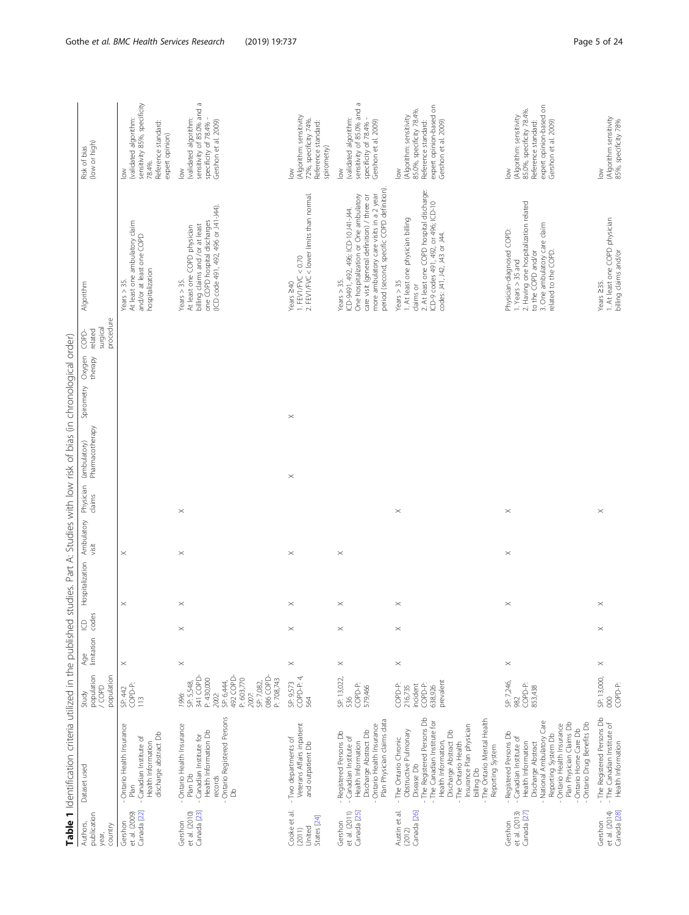<span id="page-4-0"></span>

|                                                    | Table 1 Identification criteria utilized in the published                                                                                                                                                                                                                                    |                                                                                                                                                   |                         |             |                 |                     |                     | studies. Part A: Studies with low risk of bias (in chronological order) |            |                   |                                          |                                                                                                                                                                                                                                    |                                                                                                                                          |
|----------------------------------------------------|----------------------------------------------------------------------------------------------------------------------------------------------------------------------------------------------------------------------------------------------------------------------------------------------|---------------------------------------------------------------------------------------------------------------------------------------------------|-------------------------|-------------|-----------------|---------------------|---------------------|-------------------------------------------------------------------------|------------|-------------------|------------------------------------------|------------------------------------------------------------------------------------------------------------------------------------------------------------------------------------------------------------------------------------|------------------------------------------------------------------------------------------------------------------------------------------|
| publication<br>Authors,<br>country<br>year,        | Dataset used                                                                                                                                                                                                                                                                                 | population<br>population<br>GOPD<br>Study                                                                                                         | limitation codes<br>Age | $\Theta$    | Hospitalization | Ambulatory<br>visit | Physician<br>claims | Pharmacotherapy<br>(ambulatory)                                         | Spirometry | Oxygen<br>therapy | procedure<br>surgical<br>related<br>COPD | Algorithm                                                                                                                                                                                                                          | (low or high)<br>Risk of bias                                                                                                            |
| Canada [22]<br>et al. (2009)<br>Gershon            | - Ontario Health Insurance<br>discharge abstract Db<br>- Canadian Institute of<br>Health Information<br>Plan                                                                                                                                                                                 | COPD-P:<br>SP: 442<br>113                                                                                                                         | $\times$                |             | $\times$        | $\times$            |                     |                                                                         |            |                   |                                          | At least one ambulatory claim<br>and/or at least one COPD<br>hospitalization<br>Years $>$ 35.                                                                                                                                      | sensitivity 85%, specificity<br>(validated algorithm:<br>Reference standard:<br>expert opinion)<br>78.4%.<br>$\geq$                      |
| Canada [23]<br>et al. (2010)<br>Gershon            | Ontario Registered Persons<br>Ontario Health Insurance<br>Health Information Db<br>- Canadian Institute for<br>Plan Db<br>records<br>8                                                                                                                                                       | 086 COPD-<br>341 COPD<br>492 COPD-<br>P: 603,770<br>P: 430,000<br>P: 708,743<br>SP: 6,444,<br>SP: 7,082,<br>SP: 5,548,<br>2002:<br>2007:<br>1996: | $\! \times$             | $\! \times$ | $\times$        | $\times$            | $\! \times$         |                                                                         |            |                   |                                          | (ICD code 491, 492, 496 or J41-J44).<br>one COPD hospital discharges<br>billing claims and /or at least<br>At least one COPD physician<br>Years $> 35$                                                                             | sensitivity of 85.0% and a<br>(validated algorithm:<br>Gershon et al. 2009)<br>specificity of 78.4%<br>$\geq$                            |
| Cooke et al.<br>States [24]<br>United<br>(2011)    | Veterans Affairs inpatient<br>- Two departments of<br>and outpatient Db                                                                                                                                                                                                                      | COPD-P: 4,<br>SP: 9,573<br>564                                                                                                                    | $\times$                | $\times$    | $\times$        | $\times$            |                     | $\times$                                                                | $\times$   |                   |                                          | 1. FEV1/FVC < 0.70<br>2. FEV1/FVC < lower limits than normal.<br>Years 240                                                                                                                                                         | (Algorithm: sensitivity<br>72%, specificity 74%.<br>Reference standard:<br>spirometry)<br>$\geq$                                         |
| et al. (2011)<br>Canada [25]<br>Gershon            | Plan Physician claims data<br>- Ontario Health Insurance<br>Discharge Abstract Db<br>Registered Persons Db<br>- Canadian Institute of<br>Health Information                                                                                                                                  | SP: 13,022,<br>COPD-P:<br>579,466<br>536                                                                                                          | $\! \times$             | $\times$    | $\times$        | $\times$            |                     |                                                                         |            |                   |                                          | period (second, specific COPD definition).<br>more ambulatory care visits in a 2 year<br>One hospitalization or One ambulatory<br>care visit (general definition) / three or<br>ICD-9491, 492, 496; ICD-10J41-J44<br>Years $>$ 35. | sensitivity of 85.0% and a<br>validated algorithm:<br>Gershon et al. 2009)<br>specificity of 78.4%<br>$\geq$                             |
| Austin et al.<br>Canada [26]<br>(2012)             | - The Registered Persons Db<br>The Ontario Mental Health<br>- The Canadian Institute for<br>Insurance Plan physician<br>- The Ontario Chronic<br>Obstructive Pulmonary<br>Discharge Abstract Db<br>Health Information,<br>The Ontario Health<br>Reporting System<br>Disease Db<br>billing Db | prevalent<br>COPD-P:<br>COPD-P:<br>incident<br>638,926<br>216,735                                                                                 | $\times$                | $\times$    | $\times$        |                     | $\times$            |                                                                         |            |                   |                                          | 2. At least one COPD hospital discharge:<br>ICD-9 codes 491, 492, or 496; ICD-10<br>1. At least one physician billing<br>codes: J41, J42, J43 or J44.<br>Years $> 35$<br>claims or                                                 | expert opinion-based on<br>85.0%, specificity 78.4%.<br>(Algorithm: sensitivity<br>Gershon et al. 2009)<br>Reference standard:<br>$\geq$ |
| et al. (2013)<br>Canada <sub>[27]</sub><br>Gershon | - National Ambulatory Care<br>Plan Physician Claims Db<br>- Ontario Drug Benefits Db<br>Ontario Health Insurance<br>Ontario Home Care Db<br>- Registered Persons Db<br>Reporting System Db<br>- Canadian Institute of<br>Discharge Abstract<br>Health Information                            | SP: 7,246,<br>COPD-P:<br>853,438<br>982                                                                                                           | $\times$                |             | $\times$        | $\times$            | $\times$            |                                                                         |            |                   |                                          | 2. Having one hospitalization related<br>3. One ambulatory care claim<br>Physician-diagnosed COPD:<br>related to the COPD<br>to the COPD and/or<br>1. Years > 35 and                                                               | expert opinion-based on<br>85.0%, specificity 78.4%.<br>(Algorithm: sensitivity<br>Gershon et al. 2009)<br>Reference standard:<br>$\geq$ |
| et al. (2014)<br>Canada [28]<br>Gershon            | - The Registered Persons Db<br>- The Canadian Institute of<br>Health Information                                                                                                                                                                                                             | SP: 13,000,<br>COPD-P:<br>$\infty$                                                                                                                | $\times$                | $\times$    | $\times$        |                     | $\times$            |                                                                         |            |                   |                                          | 1. At least one COPD physician<br>billing claims and/or<br>Years 235.                                                                                                                                                              | (Algorithm sensitivity<br>85%, specificity 78%<br>$\geq$                                                                                 |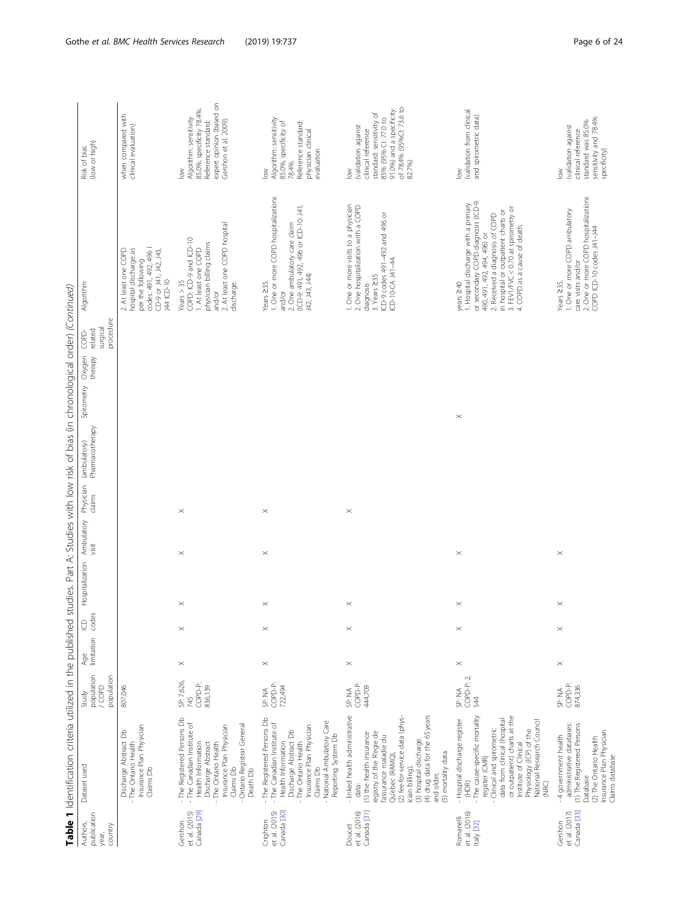|                                                    | Table 1 Identification criteria utilized in the published studies. Part A: Studies with low risk of bias (in chronological order) (Continued)                                                                                                                                                       |                                                |                   |                |                 |                     |                     |                                 |                              |        |                                  |                                                                                                                                                                                                                                                                          |                                                                                                                                                                           |
|----------------------------------------------------|-----------------------------------------------------------------------------------------------------------------------------------------------------------------------------------------------------------------------------------------------------------------------------------------------------|------------------------------------------------|-------------------|----------------|-----------------|---------------------|---------------------|---------------------------------|------------------------------|--------|----------------------------------|--------------------------------------------------------------------------------------------------------------------------------------------------------------------------------------------------------------------------------------------------------------------------|---------------------------------------------------------------------------------------------------------------------------------------------------------------------------|
| publication<br>Authors,<br>country<br>year,        | Dataset used                                                                                                                                                                                                                                                                                        | population<br>population<br>GOPD<br>N<br>Study | limitation<br>Age | codes<br>$\Xi$ | Hospitalization | Ambulatory<br>visit | Physician<br>claims | (ambulatory)<br>Pharmacotherapy | Spirometry Oxygen<br>therapy | Ċ<br>O | procedure<br>surgical<br>related | Algorithm                                                                                                                                                                                                                                                                | (low or high)<br>Risk of bias                                                                                                                                             |
|                                                    | Insurance Plan Physician<br>Discharge Abstract Db<br>- The Ontario Health<br>Claims Db                                                                                                                                                                                                              | 807,046                                        |                   |                |                 |                     |                     |                                 |                              |        |                                  | codes: 491, 492, 496  <br>2. At least one COPD<br>hospital discharge as<br>CD-9 or J41, J42, J43,<br>per the following<br>J44 ICD-10                                                                                                                                     | when compared with<br>clinical evaluation)                                                                                                                                |
| Canada [29]<br>et al. (2015)<br>Gershon            | - The Registered Persons Db<br>- The Canadian Institute of<br>Insurance Plan Physician<br>- Ontario Registrar General<br>Health Information<br>Discharge Abstract<br>- The Ontario Health<br>Claims Db<br>Death Db                                                                                  | SP: 7,626,<br>COPD-P:<br>836,139<br>745        | $\! \times$       | $\times$       | $\times$        | $\times$            | $\times$            |                                 |                              |        |                                  | 2. At least one COPD hospital<br>COPD: ICD-9 and ICD-10<br>physician billing claims<br>1. At least one COPD<br>Years $> 35$<br>discharge<br>and/or                                                                                                                       | expert opinion (based on<br>85.0%, specificity 78.4%.<br>Algorithm: sensitivity<br>Gershon et al. 2009)<br>Reference standard:<br>$\geq$                                  |
| et al. (2015)<br>Canada [30]<br>Crighton           | - The Registered Persons Db<br>- National Ambulatory Care<br>- The Canadian Institute of<br>Insurance Plan Physician<br>Discharge Abstract Db<br>Reporting System Db<br>Health Information<br>- The Ontario Health<br>Claims Db                                                                     | COPD-P:<br>722,494<br>SP: NA                   | $\times$          | $\times$       | $\times$        | $\times$            | $\times$            |                                 |                              |        |                                  | 1. One or more COPD hospitalizations<br>(ICD-9: 491, 492, 496 or ICD-10: J41,<br>2. One ambulatory care claim<br>J42, J43, J44)<br>Years $\geq$ 35.<br>and/or                                                                                                            | Algorithm: sensitivity<br>85.0%, specificity of<br>78.4%.<br>Reference standard:<br>physician clinical<br>evaluation<br>$\geq$                                            |
| Canada [31]<br>et al. (2016)<br>Doucet             | - linked health administrative<br>(4) drug data for the 65 years<br>(2) fee-for-service data (phys-<br>registry of the Regie de<br>(1) the health insurance<br>l'assurance maladie du<br>(3) hospital discharge<br>(5) mortality data.<br>Qu'ebec (RAMQ),<br>ician billing),<br>and older,<br>data: | COPD-P<br>444,709<br>SP: NA                    | $\times$          | $\times$       | $\times$        |                     | $\times$            |                                 |                              |        |                                  | 1. One or more visits to a physician<br>2. One hospitalization with a COPD<br>ICD-9 codes 491-492 and 496 or<br>ICD-10-CA J41-44<br>3. Years 235<br>diagnosis                                                                                                            | of 78.4% (95%Cl: 73.6 to<br>91.0%) and a specificity<br>standard: sensitivity of<br>85% (95% CI: 77.0 to<br>(validation against<br>clinical reference<br>82.7%)<br>$\geq$ |
| et al. (2016)<br>Romanelli<br>Italy [32]           | - The cause-specific mortality<br>or outpatient) charts at the<br>- Hospital discharge register<br>data from clinical (hospital<br>National Research Council<br>Clinical and spirometric<br>Physiology (ICP) of the<br>Institute of Clinical<br>register (CMR)<br>(HDR)<br>(NRC)                    | COPD-P: 2<br>SP: NA<br>544                     | $\times$          | $\times$       | $\times$        | $\times$            |                     |                                 | $\times$                     |        |                                  | 1. Hospital discharge with a primary<br>or secondary COPD diagnosis (ICD-9:<br>3. FEV1/FVC < 0.70 at spirometry or<br>4. COPD as a cause of death.<br>in hospital or outpatient charts or<br>2. Received a diagnosis of COPD<br>490, 491, 492, 494, 496) or<br>years ≥40 | (validation from clinical<br>and spirometric data)<br>$\geq$                                                                                                              |
| Canada <sup>[33]</sup><br>et al. (2017)<br>Gershon | administrative databases:<br>(1) The Registered Persons<br>Insurance Plan Physician<br>- 4 government health<br>(2) The Ontario Health<br>Claims database<br>Database                                                                                                                               | COPD-P:<br>874,336<br>SP: NA                   | $\! \times$       | $\times$       | $\times$        | $\times$            |                     |                                 |                              |        |                                  | 2. One or more COPD hospitalizations<br>1. One or more COPD ambulatory<br>COPD ICD-10 codes J41-J44<br>care visits and/or<br>Years 235.                                                                                                                                  | sensitivity and 78.4%<br>standard was 85.0%<br>(validation against<br>clinical reference<br>specificity)<br>$\geq$                                                        |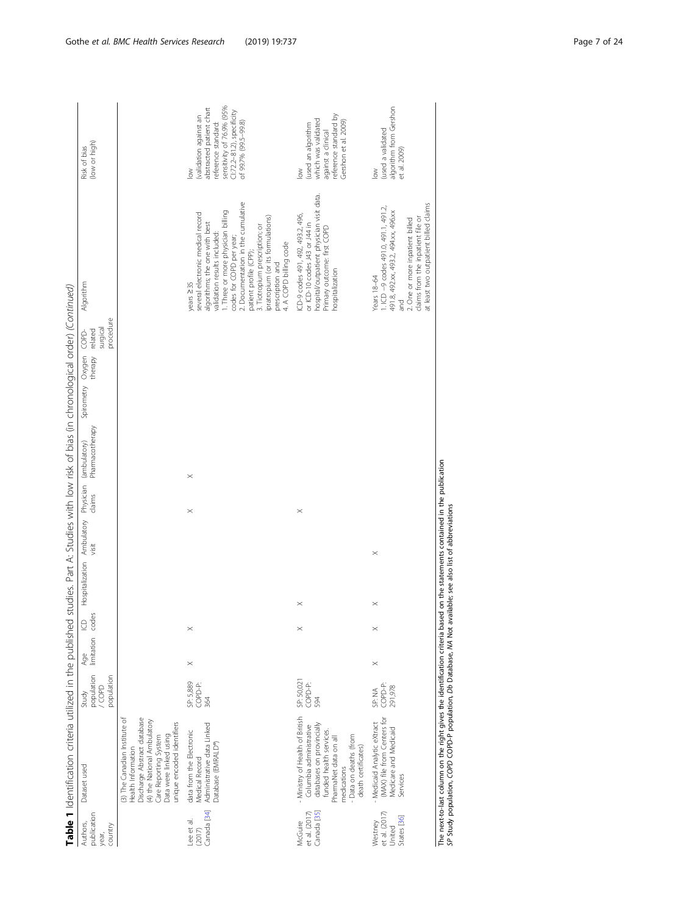|                                                   | Table 1 Identification criteria utilized in the published studies. Part A: Studies with low risk of bias (in chronological order) (Continued)                                                             |                                                  |                             |          |                                                                               |          |          |                 |                         |         |                                  |                                                                                                                                                                                                                                                                                                                                                                       |                                                                                                                                                                        |  |
|---------------------------------------------------|-----------------------------------------------------------------------------------------------------------------------------------------------------------------------------------------------------------|--------------------------------------------------|-----------------------------|----------|-------------------------------------------------------------------------------|----------|----------|-----------------|-------------------------|---------|----------------------------------|-----------------------------------------------------------------------------------------------------------------------------------------------------------------------------------------------------------------------------------------------------------------------------------------------------------------------------------------------------------------------|------------------------------------------------------------------------------------------------------------------------------------------------------------------------|--|
| publication<br>Authors,<br>country<br>year,       | Dataset used                                                                                                                                                                                              | population<br>population<br><b>GOPD</b><br>Study | Age ICD<br>limitation codes | $\Theta$ | Hospitalization Ambulatory Physician (ambulatory)<br>visit claims Pharmacothe |          |          | Pharmacotherapy | Spirometry Oxygen COPD- | therapy | procedure<br>surgical<br>related | Algorithm                                                                                                                                                                                                                                                                                                                                                             | (low or high)<br>Risk of bias                                                                                                                                          |  |
|                                                   | 3) The Canadian Institute of<br>Discharge Abstract database<br>(4) the National Ambulatory<br>unique encoded identifiers<br>Data were linked using<br>Care Reporting System<br>Health Information         |                                                  |                             |          |                                                                               |          |          |                 |                         |         |                                  |                                                                                                                                                                                                                                                                                                                                                                       |                                                                                                                                                                        |  |
| Canada [34]<br>Lee et al.<br>(2017)               | Administrative data Linked<br>data from the Electronic<br>Database (EMRALD®<br>Medical Record                                                                                                             | SP: 5,889<br>COPD-P:<br>364                      | $\times$                    | $\times$ |                                                                               |          | $\times$ | $\times$        |                         |         |                                  | 2. Documentation in the cumulative<br>I. Three or more physician billing<br>several electronic medical record<br>pratropium (or its formulations)<br>algorithms; the one with best<br>3. Tiotropium prescription; or<br>validation results included:<br>codes for COPD per year;<br>4. A COPD billing code<br>patient profile (CPP);<br>prescription and<br>years 235 | sensitivity of 76.9% (95%<br>abstracted patient chart<br>Cl:72.2-81.2), specificity<br>(validation against an<br>reference standard:<br>of 99.7% (99.5-99.8)<br>$\geq$ |  |
| Canada [35]<br>et al. (2017)<br>McGuire           | Ministry of Health of British<br>databases on provincially<br>Columbia administrative<br>funded health services.<br>- Data on deaths (from<br>PharmaNet data on all<br>death certificates)<br>medications | SP: 50,021<br>COPD-P:<br>594                     |                             | $\times$ | $\times$                                                                      |          | $\times$ |                 |                         |         |                                  | hospital/outpatient physician visit data.<br>ICD-9 codes 491, 492, 493.2, 496,<br>or ICD-10 codes J43 or J44 in<br>Primary outcome: first COPD<br>hospitalization                                                                                                                                                                                                     | reference standard by<br>which was validated<br>Gershon et al. 2009)<br>(used an algorithm<br>against a clinical<br>δŇ                                                 |  |
| et al. (2017)<br>States [36]<br>Westney<br>United | (MAX) file from Centers for<br>Medicaid Analytic eXtract<br>Medicare and Medicaid<br>Services                                                                                                             | COPD-P:<br>291,978<br>SP; NA                     | $\times$                    | $\times$ | $\times$                                                                      | $\times$ |          |                 |                         |         |                                  | at least two outpatient billed claims<br>$1CD - 9$ codes 491.0, 491.1, 491.2,<br>491.8, 492.xx, 493.2, 494.xx, 496.xx<br>claims from the inpatient file or<br>2. One or more inpatient billed<br>Years 18-64<br>and                                                                                                                                                   | algorithm from Gershon<br>(used a validated<br>et al. 2009)<br>$\geq$                                                                                                  |  |

The next-to-last column on the right gives the identification criteria based on the statements contained in the publication<br>SP Study population, COPD COPD-P population, Db Database, MA Not available; see also list of abbre The next-to-last column on the right gives the identification criteria based on the statements contained in the publication SP Study population, COPD COPD-P population, Db Database, NA Not available; see also list of abbreviations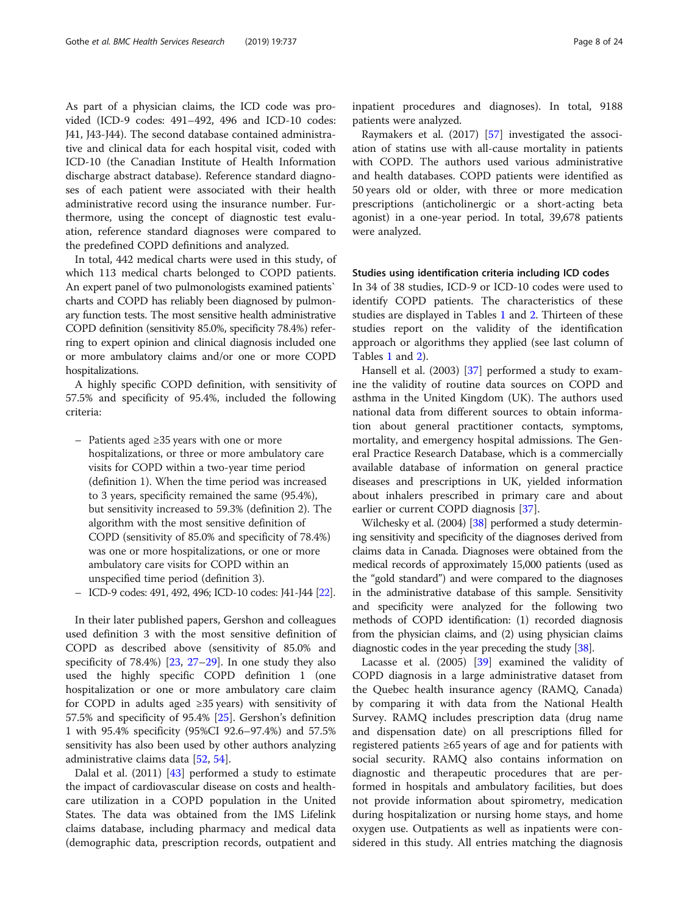As part of a physician claims, the ICD code was provided (ICD-9 codes: 491–492, 496 and ICD-10 codes: J41, J43-J44). The second database contained administrative and clinical data for each hospital visit, coded with ICD-10 (the Canadian Institute of Health Information discharge abstract database). Reference standard diagnoses of each patient were associated with their health administrative record using the insurance number. Furthermore, using the concept of diagnostic test evaluation, reference standard diagnoses were compared to the predefined COPD definitions and analyzed.

In total, 442 medical charts were used in this study, of which 113 medical charts belonged to COPD patients. An expert panel of two pulmonologists examined patients` charts and COPD has reliably been diagnosed by pulmonary function tests. The most sensitive health administrative COPD definition (sensitivity 85.0%, specificity 78.4%) referring to expert opinion and clinical diagnosis included one or more ambulatory claims and/or one or more COPD hospitalizations.

A highly specific COPD definition, with sensitivity of 57.5% and specificity of 95.4%, included the following criteria:

- Patients aged ≥35 years with one or more hospitalizations, or three or more ambulatory care visits for COPD within a two-year time period (definition 1). When the time period was increased to 3 years, specificity remained the same (95.4%), but sensitivity increased to 59.3% (definition 2). The algorithm with the most sensitive definition of COPD (sensitivity of 85.0% and specificity of 78.4%) was one or more hospitalizations, or one or more ambulatory care visits for COPD within an unspecified time period (definition 3).
- ICD-9 codes: 491, 492, 496; ICD-10 codes: J41-J44 [\[22](#page-22-0)].

In their later published papers, Gershon and colleagues used definition 3 with the most sensitive definition of COPD as described above (sensitivity of 85.0% and specificity of  $78.4\%$ )  $[23, 27-29]$  $[23, 27-29]$  $[23, 27-29]$  $[23, 27-29]$  $[23, 27-29]$ . In one study they also used the highly specific COPD definition 1 (one hospitalization or one or more ambulatory care claim for COPD in adults aged  $\geq$ 35 years) with sensitivity of 57.5% and specificity of 95.4% [\[25](#page-22-0)]. Gershon's definition 1 with 95.4% specificity (95%CI 92.6–97.4%) and 57.5% sensitivity has also been used by other authors analyzing administrative claims data [[52,](#page-23-0) [54](#page-23-0)].

Dalal et al. (2011) [[43\]](#page-23-0) performed a study to estimate the impact of cardiovascular disease on costs and healthcare utilization in a COPD population in the United States. The data was obtained from the IMS Lifelink claims database, including pharmacy and medical data (demographic data, prescription records, outpatient and inpatient procedures and diagnoses). In total, 9188 patients were analyzed.

Raymakers et al. (2017) [\[57\]](#page-23-0) investigated the association of statins use with all-cause mortality in patients with COPD. The authors used various administrative and health databases. COPD patients were identified as 50 years old or older, with three or more medication prescriptions (anticholinergic or a short-acting beta agonist) in a one-year period. In total, 39,678 patients were analyzed.

#### Studies using identification criteria including ICD codes

In 34 of 38 studies, ICD-9 or ICD-10 codes were used to identify COPD patients. The characteristics of these studies are displayed in Tables [1](#page-4-0) and [2](#page-10-0). Thirteen of these studies report on the validity of the identification approach or algorithms they applied (see last column of Tables [1](#page-4-0) and [2](#page-10-0)).

Hansell et al. (2003) [\[37](#page-23-0)] performed a study to examine the validity of routine data sources on COPD and asthma in the United Kingdom (UK). The authors used national data from different sources to obtain information about general practitioner contacts, symptoms, mortality, and emergency hospital admissions. The General Practice Research Database, which is a commercially available database of information on general practice diseases and prescriptions in UK, yielded information about inhalers prescribed in primary care and about earlier or current COPD diagnosis [[37](#page-23-0)].

Wilchesky et al. (2004) [[38](#page-23-0)] performed a study determining sensitivity and specificity of the diagnoses derived from claims data in Canada. Diagnoses were obtained from the medical records of approximately 15,000 patients (used as the "gold standard") and were compared to the diagnoses in the administrative database of this sample. Sensitivity and specificity were analyzed for the following two methods of COPD identification: (1) recorded diagnosis from the physician claims, and (2) using physician claims diagnostic codes in the year preceding the study [\[38\]](#page-23-0).

Lacasse et al. (2005) [[39](#page-23-0)] examined the validity of COPD diagnosis in a large administrative dataset from the Quebec health insurance agency (RAMQ, Canada) by comparing it with data from the National Health Survey. RAMQ includes prescription data (drug name and dispensation date) on all prescriptions filled for registered patients ≥65 years of age and for patients with social security. RAMQ also contains information on diagnostic and therapeutic procedures that are performed in hospitals and ambulatory facilities, but does not provide information about spirometry, medication during hospitalization or nursing home stays, and home oxygen use. Outpatients as well as inpatients were considered in this study. All entries matching the diagnosis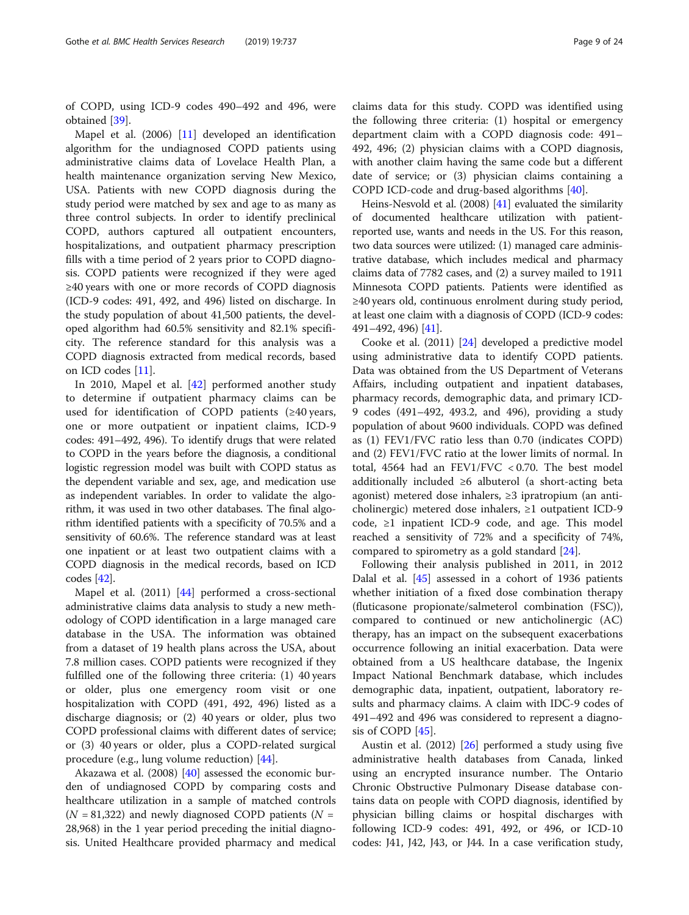of COPD, using ICD-9 codes 490–492 and 496, were obtained [\[39\]](#page-23-0).

Mapel et al. (2006) [\[11](#page-22-0)] developed an identification algorithm for the undiagnosed COPD patients using administrative claims data of Lovelace Health Plan, a health maintenance organization serving New Mexico, USA. Patients with new COPD diagnosis during the study period were matched by sex and age to as many as three control subjects. In order to identify preclinical COPD, authors captured all outpatient encounters, hospitalizations, and outpatient pharmacy prescription fills with a time period of 2 years prior to COPD diagnosis. COPD patients were recognized if they were aged ≥40 years with one or more records of COPD diagnosis (ICD-9 codes: 491, 492, and 496) listed on discharge. In the study population of about 41,500 patients, the developed algorithm had 60.5% sensitivity and 82.1% specificity. The reference standard for this analysis was a COPD diagnosis extracted from medical records, based on ICD codes [\[11](#page-22-0)].

In 2010, Mapel et al. [\[42](#page-23-0)] performed another study to determine if outpatient pharmacy claims can be used for identification of COPD patients  $(\geq 40 \text{ years},$ one or more outpatient or inpatient claims, ICD-9 codes: 491–492, 496). To identify drugs that were related to COPD in the years before the diagnosis, a conditional logistic regression model was built with COPD status as the dependent variable and sex, age, and medication use as independent variables. In order to validate the algorithm, it was used in two other databases. The final algorithm identified patients with a specificity of 70.5% and a sensitivity of 60.6%. The reference standard was at least one inpatient or at least two outpatient claims with a COPD diagnosis in the medical records, based on ICD codes [[42\]](#page-23-0).

Mapel et al. (2011) [[44](#page-23-0)] performed a cross-sectional administrative claims data analysis to study a new methodology of COPD identification in a large managed care database in the USA. The information was obtained from a dataset of 19 health plans across the USA, about 7.8 million cases. COPD patients were recognized if they fulfilled one of the following three criteria: (1) 40 years or older, plus one emergency room visit or one hospitalization with COPD (491, 492, 496) listed as a discharge diagnosis; or (2) 40 years or older, plus two COPD professional claims with different dates of service; or (3) 40 years or older, plus a COPD-related surgical procedure (e.g., lung volume reduction) [\[44\]](#page-23-0).

Akazawa et al. (2008) [\[40](#page-23-0)] assessed the economic burden of undiagnosed COPD by comparing costs and healthcare utilization in a sample of matched controls  $(N = 81,322)$  and newly diagnosed COPD patients  $(N = 1,322)$ 28,968) in the 1 year period preceding the initial diagnosis. United Healthcare provided pharmacy and medical

claims data for this study. COPD was identified using the following three criteria: (1) hospital or emergency department claim with a COPD diagnosis code: 491– 492, 496; (2) physician claims with a COPD diagnosis, with another claim having the same code but a different date of service; or (3) physician claims containing a COPD ICD-code and drug-based algorithms [\[40](#page-23-0)].

Heins-Nesvold et al. (2008) [\[41\]](#page-23-0) evaluated the similarity of documented healthcare utilization with patientreported use, wants and needs in the US. For this reason, two data sources were utilized: (1) managed care administrative database, which includes medical and pharmacy claims data of 7782 cases, and (2) a survey mailed to 1911 Minnesota COPD patients. Patients were identified as ≥40 years old, continuous enrolment during study period, at least one claim with a diagnosis of COPD (ICD-9 codes: 491–492, 496) [\[41](#page-23-0)].

Cooke et al. (2011) [[24](#page-22-0)] developed a predictive model using administrative data to identify COPD patients. Data was obtained from the US Department of Veterans Affairs, including outpatient and inpatient databases, pharmacy records, demographic data, and primary ICD-9 codes (491–492, 493.2, and 496), providing a study population of about 9600 individuals. COPD was defined as (1) FEV1/FVC ratio less than 0.70 (indicates COPD) and (2) FEV1/FVC ratio at the lower limits of normal. In total, 4564 had an FEV1/FVC < 0.70. The best model additionally included ≥6 albuterol (a short-acting beta agonist) metered dose inhalers, ≥3 ipratropium (an anticholinergic) metered dose inhalers, ≥1 outpatient ICD-9 code, ≥1 inpatient ICD-9 code, and age. This model reached a sensitivity of 72% and a specificity of 74%, compared to spirometry as a gold standard [[24\]](#page-22-0).

Following their analysis published in 2011, in 2012 Dalal et al. [[45\]](#page-23-0) assessed in a cohort of 1936 patients whether initiation of a fixed dose combination therapy (fluticasone propionate/salmeterol combination (FSC)), compared to continued or new anticholinergic (AC) therapy, has an impact on the subsequent exacerbations occurrence following an initial exacerbation. Data were obtained from a US healthcare database, the Ingenix Impact National Benchmark database, which includes demographic data, inpatient, outpatient, laboratory results and pharmacy claims. A claim with IDC-9 codes of 491–492 and 496 was considered to represent a diagnosis of COPD [[45\]](#page-23-0).

Austin et al. (2012) [\[26\]](#page-22-0) performed a study using five administrative health databases from Canada, linked using an encrypted insurance number. The Ontario Chronic Obstructive Pulmonary Disease database contains data on people with COPD diagnosis, identified by physician billing claims or hospital discharges with following ICD-9 codes: 491, 492, or 496, or ICD-10 codes: J41, J42, J43, or J44. In a case verification study,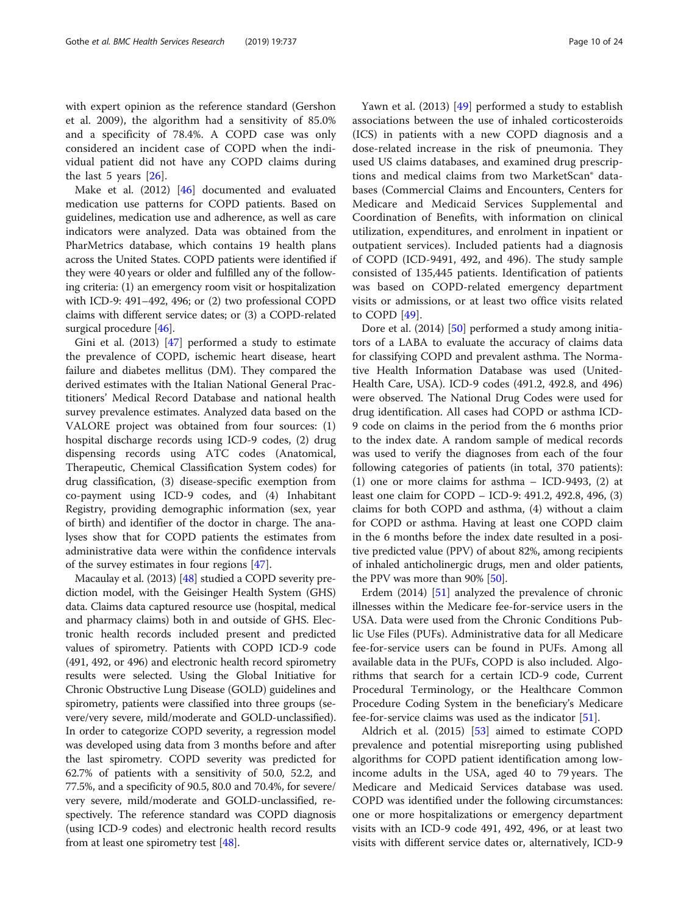with expert opinion as the reference standard (Gershon et al. 2009), the algorithm had a sensitivity of 85.0% and a specificity of 78.4%. A COPD case was only considered an incident case of COPD when the individual patient did not have any COPD claims during the last 5 years [\[26](#page-22-0)].

Make et al. (2012) [\[46\]](#page-23-0) documented and evaluated medication use patterns for COPD patients. Based on guidelines, medication use and adherence, as well as care indicators were analyzed. Data was obtained from the PharMetrics database, which contains 19 health plans across the United States. COPD patients were identified if they were 40 years or older and fulfilled any of the following criteria: (1) an emergency room visit or hospitalization with ICD-9: 491–492, 496; or (2) two professional COPD claims with different service dates; or (3) a COPD-related surgical procedure [\[46\]](#page-23-0).

Gini et al. (2013) [\[47\]](#page-23-0) performed a study to estimate the prevalence of COPD, ischemic heart disease, heart failure and diabetes mellitus (DM). They compared the derived estimates with the Italian National General Practitioners' Medical Record Database and national health survey prevalence estimates. Analyzed data based on the VALORE project was obtained from four sources: (1) hospital discharge records using ICD-9 codes, (2) drug dispensing records using ATC codes (Anatomical, Therapeutic, Chemical Classification System codes) for drug classification, (3) disease-specific exemption from co-payment using ICD-9 codes, and (4) Inhabitant Registry, providing demographic information (sex, year of birth) and identifier of the doctor in charge. The analyses show that for COPD patients the estimates from administrative data were within the confidence intervals of the survey estimates in four regions [[47\]](#page-23-0).

Macaulay et al. (2013) [\[48\]](#page-23-0) studied a COPD severity prediction model, with the Geisinger Health System (GHS) data. Claims data captured resource use (hospital, medical and pharmacy claims) both in and outside of GHS. Electronic health records included present and predicted values of spirometry. Patients with COPD ICD-9 code (491, 492, or 496) and electronic health record spirometry results were selected. Using the Global Initiative for Chronic Obstructive Lung Disease (GOLD) guidelines and spirometry, patients were classified into three groups (severe/very severe, mild/moderate and GOLD-unclassified). In order to categorize COPD severity, a regression model was developed using data from 3 months before and after the last spirometry. COPD severity was predicted for 62.7% of patients with a sensitivity of 50.0, 52.2, and 77.5%, and a specificity of 90.5, 80.0 and 70.4%, for severe/ very severe, mild/moderate and GOLD-unclassified, respectively. The reference standard was COPD diagnosis (using ICD-9 codes) and electronic health record results from at least one spirometry test [\[48](#page-23-0)].

Yawn et al. (2013) [\[49](#page-23-0)] performed a study to establish associations between the use of inhaled corticosteroids (ICS) in patients with a new COPD diagnosis and a dose-related increase in the risk of pneumonia. They used US claims databases, and examined drug prescriptions and medical claims from two MarketScan® databases (Commercial Claims and Encounters, Centers for Medicare and Medicaid Services Supplemental and Coordination of Benefits, with information on clinical utilization, expenditures, and enrolment in inpatient or outpatient services). Included patients had a diagnosis of COPD (ICD-9491, 492, and 496). The study sample consisted of 135,445 patients. Identification of patients was based on COPD-related emergency department visits or admissions, or at least two office visits related to COPD [[49\]](#page-23-0).

Dore et al. (2014) [\[50](#page-23-0)] performed a study among initiators of a LABA to evaluate the accuracy of claims data for classifying COPD and prevalent asthma. The Normative Health Information Database was used (United-Health Care, USA). ICD-9 codes (491.2, 492.8, and 496) were observed. The National Drug Codes were used for drug identification. All cases had COPD or asthma ICD-9 code on claims in the period from the 6 months prior to the index date. A random sample of medical records was used to verify the diagnoses from each of the four following categories of patients (in total, 370 patients): (1) one or more claims for asthma – ICD-9493, (2) at least one claim for COPD – ICD-9: 491.2, 492.8, 496, (3) claims for both COPD and asthma, (4) without a claim for COPD or asthma. Having at least one COPD claim in the 6 months before the index date resulted in a positive predicted value (PPV) of about 82%, among recipients of inhaled anticholinergic drugs, men and older patients, the PPV was more than 90% [[50\]](#page-23-0).

Erdem (2014) [\[51](#page-23-0)] analyzed the prevalence of chronic illnesses within the Medicare fee-for-service users in the USA. Data were used from the Chronic Conditions Public Use Files (PUFs). Administrative data for all Medicare fee-for-service users can be found in PUFs. Among all available data in the PUFs, COPD is also included. Algorithms that search for a certain ICD-9 code, Current Procedural Terminology, or the Healthcare Common Procedure Coding System in the beneficiary's Medicare fee-for-service claims was used as the indicator [[51\]](#page-23-0).

Aldrich et al. (2015) [\[53](#page-23-0)] aimed to estimate COPD prevalence and potential misreporting using published algorithms for COPD patient identification among lowincome adults in the USA, aged 40 to 79 years. The Medicare and Medicaid Services database was used. COPD was identified under the following circumstances: one or more hospitalizations or emergency department visits with an ICD-9 code 491, 492, 496, or at least two visits with different service dates or, alternatively, ICD-9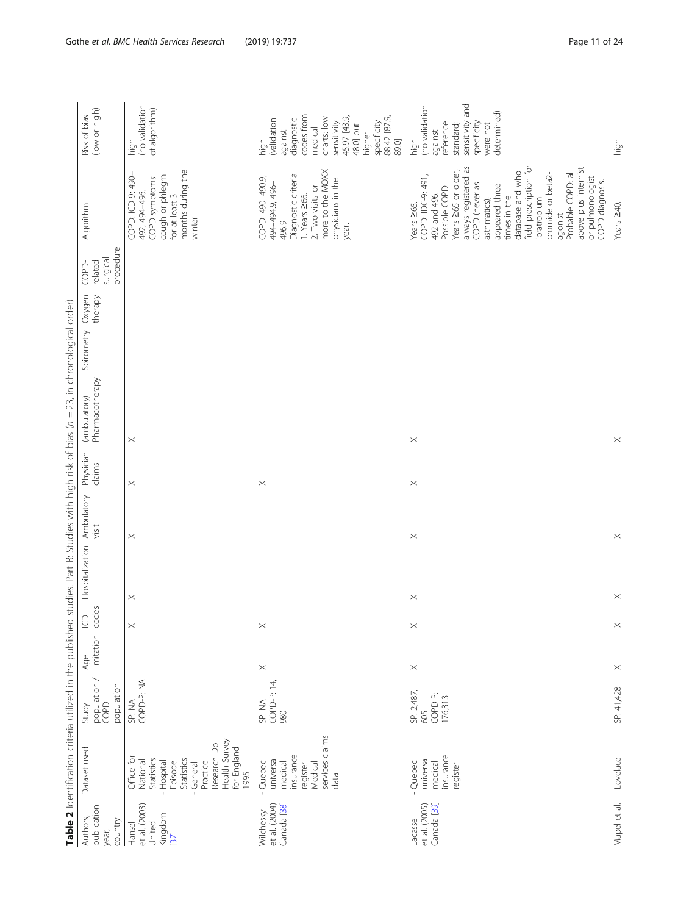<span id="page-10-0"></span>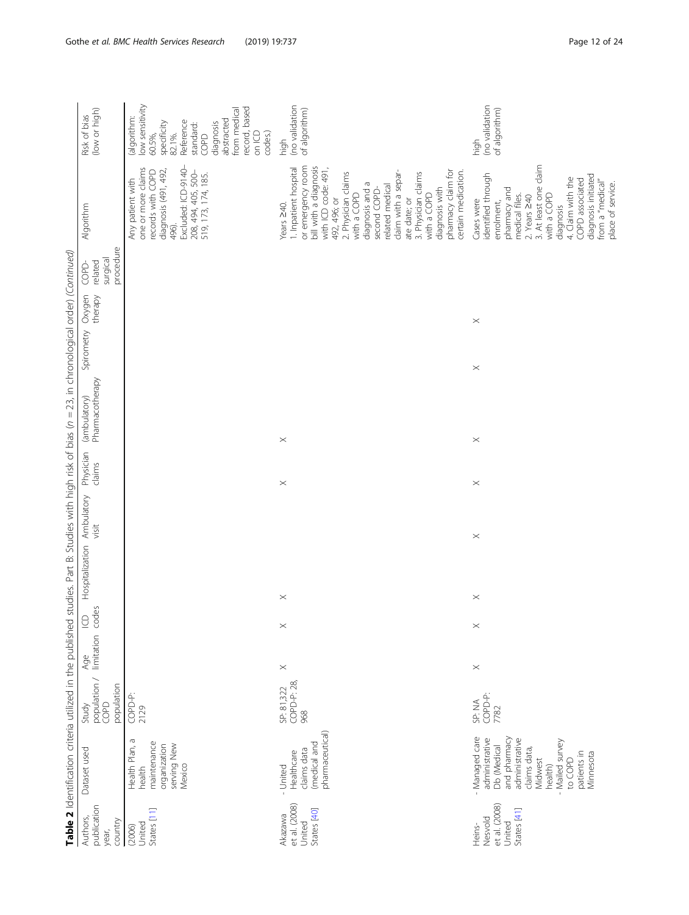|                                                                                              | (low or high)<br>Risk of bias                                        | low sensitivity<br>record, based<br>from medical<br>(algorithm:<br>abstracted<br>Reference<br>specificity<br>82.1%.<br>diagnosis<br>standard:<br>codes.)<br>on ICD<br>60.5%,<br>COPD | (no validation<br>of algorithm)<br>high                                                                                                                                                                                                                                                                                                                          | (no validation<br>of algorithm)<br>high                                                                                                                                                                                                                             |
|----------------------------------------------------------------------------------------------|----------------------------------------------------------------------|--------------------------------------------------------------------------------------------------------------------------------------------------------------------------------------|------------------------------------------------------------------------------------------------------------------------------------------------------------------------------------------------------------------------------------------------------------------------------------------------------------------------------------------------------------------|---------------------------------------------------------------------------------------------------------------------------------------------------------------------------------------------------------------------------------------------------------------------|
|                                                                                              | Algorithm                                                            | Excluded: ICD-9140-<br>one or more claims<br>diagnosis (491, 492,<br>records with COPD<br>208, 494, 405, 500-<br>519, 173, 174, 185.<br>Any patient with<br>496).                    | or emergency room<br>bill with a diagnosis<br>1. Inpatient hospital<br>with ICD code: 491,<br>pharmacy claim for<br>certain medication.<br>claim with a separ-<br>2. Physician claims<br>3. Physician claims<br>diagnosis and a<br>related medical<br>diagnosis with<br>second COPD-<br>with a COPD<br>with a COPD<br>492, 496; or<br>ate date; or<br>Years 240. | 3. At least one claim<br>identified through<br>diagnosis initiated<br>4. Claim with the<br>COPD associated<br>from a "medical"<br>place of service.<br>pharmacy and<br>medical files.<br>with a COPD<br>2. Years $\geq 40$<br>Cases were<br>enrolment,<br>diagnosis |
|                                                                                              | procedure<br>surgical<br>related<br>COPD                             |                                                                                                                                                                                      |                                                                                                                                                                                                                                                                                                                                                                  |                                                                                                                                                                                                                                                                     |
|                                                                                              | Oxygen<br>therapy                                                    |                                                                                                                                                                                      |                                                                                                                                                                                                                                                                                                                                                                  | $\times$                                                                                                                                                                                                                                                            |
|                                                                                              | Spirometry                                                           |                                                                                                                                                                                      |                                                                                                                                                                                                                                                                                                                                                                  | $\boldsymbol{\times}$                                                                                                                                                                                                                                               |
| studies. Part B: Studies with high risk of bias (n = 23, in chronological order) (Continued) | Pharmacotherapy<br>(ambulatory)                                      |                                                                                                                                                                                      |                                                                                                                                                                                                                                                                                                                                                                  |                                                                                                                                                                                                                                                                     |
|                                                                                              | Physician                                                            |                                                                                                                                                                                      | $\times$                                                                                                                                                                                                                                                                                                                                                         | $\times$                                                                                                                                                                                                                                                            |
|                                                                                              | claims                                                               |                                                                                                                                                                                      | $\times$                                                                                                                                                                                                                                                                                                                                                         | $\boldsymbol{\times}$                                                                                                                                                                                                                                               |
|                                                                                              | visit                                                                |                                                                                                                                                                                      |                                                                                                                                                                                                                                                                                                                                                                  | $\boldsymbol{\times}$                                                                                                                                                                                                                                               |
|                                                                                              | Hospitalization Ambulatory                                           |                                                                                                                                                                                      |                                                                                                                                                                                                                                                                                                                                                                  |                                                                                                                                                                                                                                                                     |
|                                                                                              |                                                                      |                                                                                                                                                                                      | $\times$                                                                                                                                                                                                                                                                                                                                                         | $\times$                                                                                                                                                                                                                                                            |
|                                                                                              |                                                                      |                                                                                                                                                                                      | $\times$                                                                                                                                                                                                                                                                                                                                                         | $\times$                                                                                                                                                                                                                                                            |
|                                                                                              |                                                                      |                                                                                                                                                                                      | $\times$                                                                                                                                                                                                                                                                                                                                                         | $\times$                                                                                                                                                                                                                                                            |
|                                                                                              | Study Age ICD<br>population / limitation codes<br>population<br>COPD | COPD-P:<br>2129                                                                                                                                                                      | COPD-P: 28<br>SP: 81,322<br>968                                                                                                                                                                                                                                                                                                                                  | COPD-P:<br>SP: NA<br>7782                                                                                                                                                                                                                                           |
| Table 2 Identification criteria utilized in the published                                    | Dataset used                                                         | Health Plan, a<br>maintenance<br>organization<br>serving New<br>Mexico<br>health                                                                                                     | pharmaceutical)<br>(medical and<br>claims data<br>Healthcare<br>- United                                                                                                                                                                                                                                                                                         | - Managed care<br>administrative<br>and pharmacy<br>administrative<br>Mailed survey<br>Db (Medical<br>claims data,<br>patients in<br>Minnesota<br>Midwest<br>to COPD<br>health)                                                                                     |
|                                                                                              | publication<br>Authors,<br>country<br>year,                          | States [11]<br>United<br>(2006)                                                                                                                                                      | et al. (2008)<br>States [40]<br>Akazawa<br>United                                                                                                                                                                                                                                                                                                                | et al. (2008)<br>States [41]<br>Nesvold<br>United<br>Heins-                                                                                                                                                                                                         |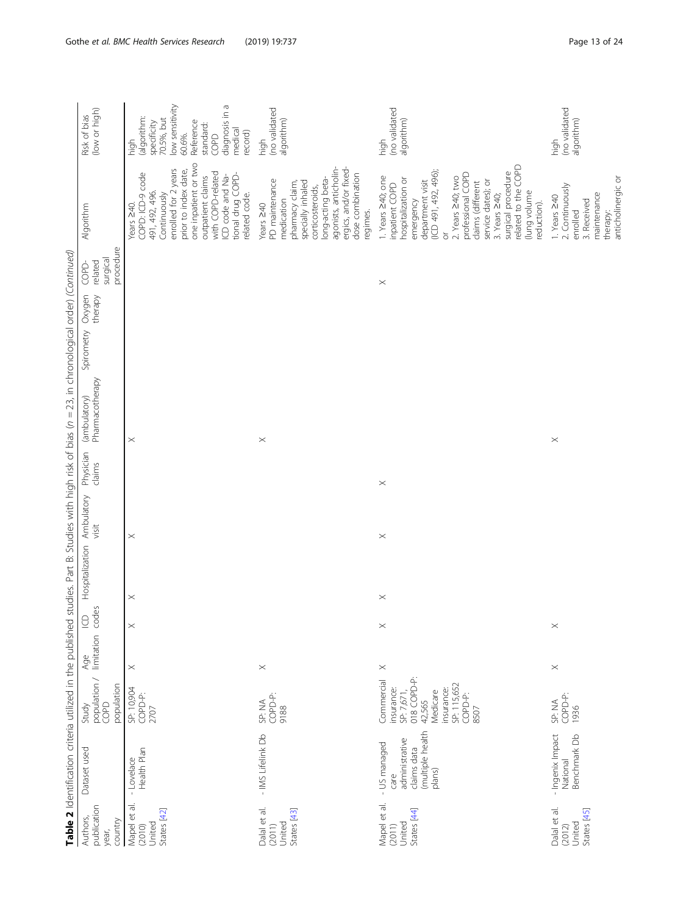|                                                                                              | (low or high)<br>Risk of bias<br>Algorithm<br>procedure<br>surgical | low sensitivity<br>diagnosis in a<br>(algorithm:<br>70.5%, but<br>specificity<br>Reference<br>standard:<br>medical<br>record)<br>60.6%.<br>COPD<br>high<br>one inpatient or two<br>enrolled for 2 years<br>prior to index date,<br>COPD: ICD-9 code<br>with COPD-related<br>tional drug COPD-<br>ICD code and Na-<br>outpatient claims<br>491, 492, 496.<br>Continuously<br>related code.<br>Years 240. | (no validated<br>algorithm)<br>high<br>agonists, anticholin-<br>ergics, and/or fixed-<br>dose combination<br>long-acting beta-<br>PD maintenance<br>pharmacy claim,<br>specially inhaled<br>corticosteroids,<br>medication<br>Years 240<br>regimes. | (no validated<br>algorithm)<br>high<br>related to the COPD<br>(ICD 491, 492, 496);<br>surgical procedure<br>professional COPD<br>1. Years 240; one<br>2. Years 240; two<br>hospitalization or<br>department visit<br>service dates); or<br>claims (different<br>inpatient COPD<br>(lung volume<br>3. Years 240;<br>emergency<br>reduction).<br>$\overleftarrow{\mathrm{o}}$ | (no validated<br>algorithm)<br>high<br>2. Continuously<br>maintenance<br>1. Years 240<br>3. Received<br>enrolled<br>therapy: |
|----------------------------------------------------------------------------------------------|---------------------------------------------------------------------|---------------------------------------------------------------------------------------------------------------------------------------------------------------------------------------------------------------------------------------------------------------------------------------------------------------------------------------------------------------------------------------------------------|-----------------------------------------------------------------------------------------------------------------------------------------------------------------------------------------------------------------------------------------------------|-----------------------------------------------------------------------------------------------------------------------------------------------------------------------------------------------------------------------------------------------------------------------------------------------------------------------------------------------------------------------------|------------------------------------------------------------------------------------------------------------------------------|
|                                                                                              | related<br>COPD<br>Oxygen<br>therapy<br>Spirometry                  |                                                                                                                                                                                                                                                                                                                                                                                                         |                                                                                                                                                                                                                                                     | $\boldsymbol{\times}$                                                                                                                                                                                                                                                                                                                                                       |                                                                                                                              |
|                                                                                              | (ambulatory)<br>Pharmacotherapy                                     | $\times$                                                                                                                                                                                                                                                                                                                                                                                                | $\times$                                                                                                                                                                                                                                            |                                                                                                                                                                                                                                                                                                                                                                             | $\boldsymbol{\times}$                                                                                                        |
| studies. Part B: Studies with high risk of bias (n = 23, in chronological order) (Continued) | Physician<br>claims<br>Ambulatory<br>visit<br>Hospitalization       | $\times$                                                                                                                                                                                                                                                                                                                                                                                                |                                                                                                                                                                                                                                                     | $\times$<br>$\times$                                                                                                                                                                                                                                                                                                                                                        |                                                                                                                              |
|                                                                                              | limitation codes<br>$\cup$                                          | $\times$<br>$\times$                                                                                                                                                                                                                                                                                                                                                                                    |                                                                                                                                                                                                                                                     | $\times$<br>$\boldsymbol{\times}$                                                                                                                                                                                                                                                                                                                                           | $\boldsymbol{\times}$                                                                                                        |
| Table 2 Identification criteria utilized in the published                                    | Age<br>population /<br>population<br>COPD<br>Study                  | $\times$<br>SP: 10,904<br>COPD-P:<br>2707                                                                                                                                                                                                                                                                                                                                                               | $\times$<br>COPD-P:<br>SP: NA<br>9188                                                                                                                                                                                                               | $\times$<br>SP: 7,671,<br>018 COPD-P:<br>42,565<br>Commercial<br>SP: 115,652<br>insurance:<br>insurance:<br>Medicare<br>COPD-P:<br>8507                                                                                                                                                                                                                                     | $\boldsymbol{\times}$<br>COPD-P:<br>SP: NA<br>1936                                                                           |
|                                                                                              | Dataset used                                                        | Health Plan<br>- Lovelace                                                                                                                                                                                                                                                                                                                                                                               | - IMS Lifelink Db                                                                                                                                                                                                                                   | (multiple health<br>administrative<br>- US managed<br>claims data<br>plans)<br>care                                                                                                                                                                                                                                                                                         | - Ingenix Impact<br>Benchmark Db<br>National                                                                                 |
|                                                                                              | publication<br>Authors,<br>country<br>year,                         | Mapel et al.<br>States [42]<br>United<br>(2010)                                                                                                                                                                                                                                                                                                                                                         | Dalal et al.<br>States [43]<br>United<br>(2011)                                                                                                                                                                                                     | Mapel et al.<br>States [44]<br>United<br>(2011)                                                                                                                                                                                                                                                                                                                             | Dalal et al.<br>States [45]<br>United<br>(2012)                                                                              |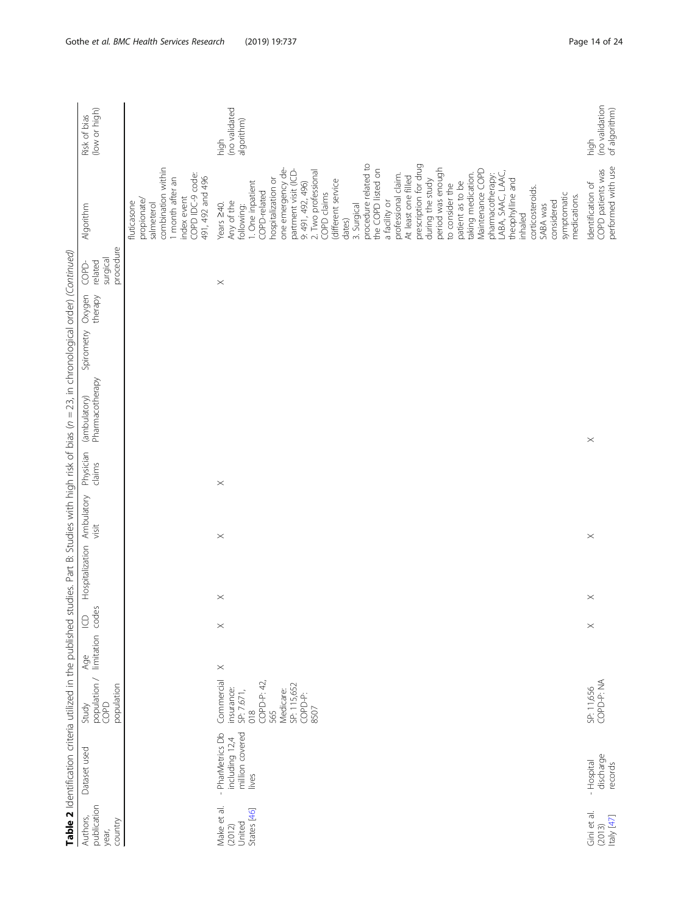|                                                                                              | (low or high)<br>Risk of bias                                        |                                                                                                                                        | (no validated<br>algorithm)<br>high                                                                                                                                                                                                                                                                                                                                                                                                                                                                                                                                                                                                                                          | (no validation<br>of algorithm)<br>high                      |
|----------------------------------------------------------------------------------------------|----------------------------------------------------------------------|----------------------------------------------------------------------------------------------------------------------------------------|------------------------------------------------------------------------------------------------------------------------------------------------------------------------------------------------------------------------------------------------------------------------------------------------------------------------------------------------------------------------------------------------------------------------------------------------------------------------------------------------------------------------------------------------------------------------------------------------------------------------------------------------------------------------------|--------------------------------------------------------------|
|                                                                                              | Algorithm                                                            | combination within<br>COPD IDC-9 code:<br>month after an<br>491, 492 and 496<br>index event<br>propionate<br>fluticasone<br>salmeterol | procedure related to<br>prescription for drug<br>one emergency de-<br>the COPD listed on<br>period was enough<br>partment visit (ICD-<br>Maintenance COPD<br>2. Two professional<br>LABA, SAAC, LAAC,<br>taking medication.<br>pharmacotherapy:<br>professional claim.<br>At least one filled<br>hospitalization or<br>theophylline and<br>during the study<br>(different service<br>1. One inpatient<br>patient as to be<br>9: 491, 492, 496)<br>to consider the<br>corticosteroids.<br>COPD-related<br>COPD claims<br>symptomatic<br>medications.<br>a facility or<br>Any of the<br>considered<br>Years 240.<br>3. Surgical<br>SABA was<br>following:<br>inhaled<br>dates) | performed with use<br>COPD patients was<br>Identification of |
|                                                                                              | procedure<br>surgical<br>related<br>COPD-                            |                                                                                                                                        | $\boldsymbol{\times}$                                                                                                                                                                                                                                                                                                                                                                                                                                                                                                                                                                                                                                                        |                                                              |
|                                                                                              | Oxygen<br>therapy                                                    |                                                                                                                                        |                                                                                                                                                                                                                                                                                                                                                                                                                                                                                                                                                                                                                                                                              |                                                              |
|                                                                                              | Spirometry                                                           |                                                                                                                                        |                                                                                                                                                                                                                                                                                                                                                                                                                                                                                                                                                                                                                                                                              |                                                              |
| studies. Part B: Studies with high risk of bias (n = 23, in chronological order) (Continued) | Pharmacotherapy<br>(ambulatory)                                      |                                                                                                                                        |                                                                                                                                                                                                                                                                                                                                                                                                                                                                                                                                                                                                                                                                              | $\times$                                                     |
|                                                                                              | Physician<br>claims                                                  |                                                                                                                                        | $\boldsymbol{\times}$                                                                                                                                                                                                                                                                                                                                                                                                                                                                                                                                                                                                                                                        |                                                              |
|                                                                                              | Hospitalization Ambulatory<br>visit                                  |                                                                                                                                        | $\times$                                                                                                                                                                                                                                                                                                                                                                                                                                                                                                                                                                                                                                                                     | $\times$                                                     |
|                                                                                              |                                                                      |                                                                                                                                        | $\times$                                                                                                                                                                                                                                                                                                                                                                                                                                                                                                                                                                                                                                                                     | $\times$                                                     |
|                                                                                              | $\Xi$                                                                |                                                                                                                                        | $\times$                                                                                                                                                                                                                                                                                                                                                                                                                                                                                                                                                                                                                                                                     | $\times$                                                     |
|                                                                                              |                                                                      |                                                                                                                                        | $\times$                                                                                                                                                                                                                                                                                                                                                                                                                                                                                                                                                                                                                                                                     |                                                              |
|                                                                                              | Study Age ICD<br>population / limitation codes<br>population<br>COPD |                                                                                                                                        | Commercial<br>COPD-P: 42,<br>SP: 115,652<br>insurance:<br>Medicare:<br>SP: 7.671,<br>COPD-P:<br>8507<br>$\frac{8}{2}$<br>565                                                                                                                                                                                                                                                                                                                                                                                                                                                                                                                                                 | COPD-P: NA<br>SP: 11,656                                     |
| Table 2 Identification criteria utilized in the published                                    | Dataset used                                                         |                                                                                                                                        | million covered<br>- PharMetrics Db<br>including 12,4<br>lives                                                                                                                                                                                                                                                                                                                                                                                                                                                                                                                                                                                                               | discharge<br>- Hospital<br>records                           |
|                                                                                              | publication<br>Authors,<br>country<br>year,                          |                                                                                                                                        | Make et al.<br>States [46]<br>United<br>(2012)                                                                                                                                                                                                                                                                                                                                                                                                                                                                                                                                                                                                                               | Gini et al.<br>Italy [47]<br>(2013)                          |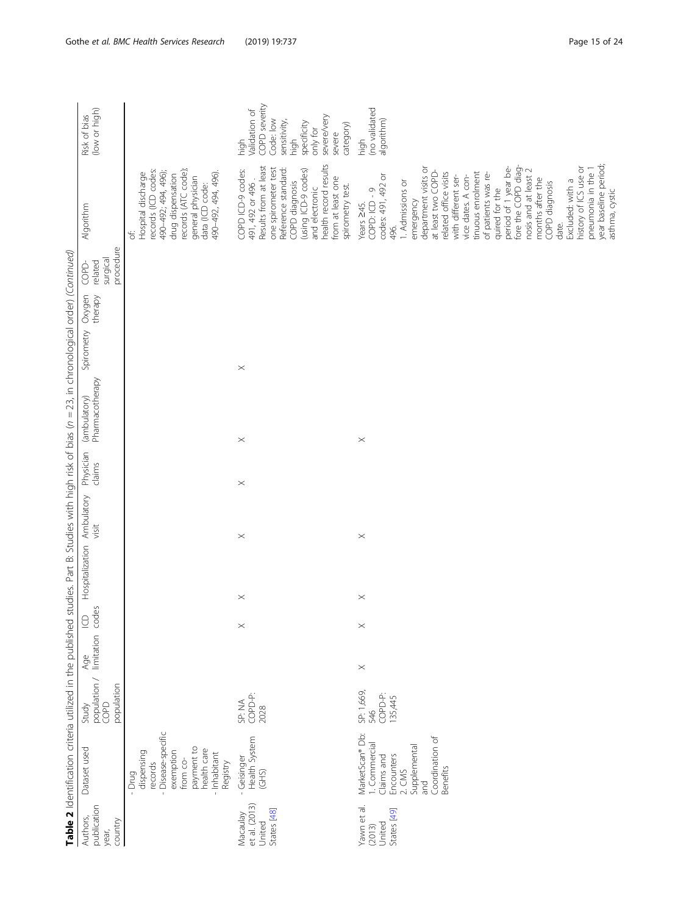|                                                    |                                                                                                                                                      |                                                                 |          |                   |                       |                       |                     | Table 2 Identification criteria utilized in the published studies. Part B: Studies with high risk of bias (n = 23, in chronological order) (Continued) |                                 |                                                  |                                                                                                                                                                                                                                                                                                                                                                                                                                                                                                                  |                                                                                                                                              |
|----------------------------------------------------|------------------------------------------------------------------------------------------------------------------------------------------------------|-----------------------------------------------------------------|----------|-------------------|-----------------------|-----------------------|---------------------|--------------------------------------------------------------------------------------------------------------------------------------------------------|---------------------------------|--------------------------------------------------|------------------------------------------------------------------------------------------------------------------------------------------------------------------------------------------------------------------------------------------------------------------------------------------------------------------------------------------------------------------------------------------------------------------------------------------------------------------------------------------------------------------|----------------------------------------------------------------------------------------------------------------------------------------------|
| publication<br>Authors,<br>country<br>year,        | Dataset used                                                                                                                                         | Study<br>population / limitation<br>population<br>COPD<br>Study |          | codes<br>$\Omega$ | Hospitalization       | Ambulatory<br>visit   | Physician<br>clains | Pharmacotherapy<br>(ambulatory)                                                                                                                        | Oxygen<br>therapy<br>Spirometry | procedure<br>surgical<br>related<br><b>COPD-</b> | Algorithm                                                                                                                                                                                                                                                                                                                                                                                                                                                                                                        | (low or high)<br>Risk of bias                                                                                                                |
|                                                    | - Disease-specific<br>payment to<br>health care<br>exemption<br>dispensing<br>Inhabitant<br>from co-<br>Registry<br>records<br>$-$ Drug<br>$\bar{1}$ |                                                                 |          |                   |                       |                       |                     |                                                                                                                                                        |                                 |                                                  | records (ATC code);<br>records (ICD codes:<br>490-492; 494, 496);<br>490-492, 494, 496).<br>Hospital discharge<br>drug dispensation<br>general physician<br>data (ICD code:<br>$\overline{\sigma}$                                                                                                                                                                                                                                                                                                               |                                                                                                                                              |
| et al. (2013)<br>States [48]<br>Macaulay<br>United | Health System<br>- Geisinger<br>$\widetilde{G}$ HS)                                                                                                  | COPD-P:<br>SP: NA<br>2028                                       |          | $\! \times$       | $\times$              | $\times$              | $\times$            | $\times$                                                                                                                                               | $\times$                        |                                                  | health record results<br>Results from at least<br>one spirometer test<br>Reference standard:<br>(using ICD-9 codes)<br>COPD ICD-9 codes:<br>from at least one<br>491, 492 or 496.<br>COPD diagnosis<br>spirometry test.<br>and electronic                                                                                                                                                                                                                                                                        | COPD severity<br>validation of<br>severe/very<br>Code: low<br>sensitivity,<br>specificity<br>category)<br>only for<br>severe<br>high<br>high |
| Yawn et al.<br>$(2013)$<br>United<br>States $[49]$ | MarketScan® Db:<br>Coordination of<br>1. Commercial<br>Supplemental<br>Encounters<br>Claims and<br>Benefits<br>2. <i>CMS</i><br>pue                  | SP: 1,669,<br>COPD-P:<br>135,445<br>546                         | $\times$ | $\times$          | $\boldsymbol{\times}$ | $\boldsymbol{\times}$ |                     | $\times$                                                                                                                                               |                                 |                                                  | year baseline period;<br>fore the COPD diag-<br>period of 1 year be-<br>history of ICS use or<br>department visits or<br>pneumonia in the 1<br>nosis and at least 2<br>at least two COPD-<br>related office visits<br>tinuous enrolment<br>of patients was re-<br>codes: 491, 492 or<br>vice dates. A con-<br>with different ser-<br>months after the<br>Excluded: with a<br>1. Admissions or<br>COPD diagnosis<br>quired for the<br>COPD: ICD - 9<br>asthma, cystic<br>emergency<br>Years 245.<br>date.<br>496. | (no validated<br>algorithm)<br>high                                                                                                          |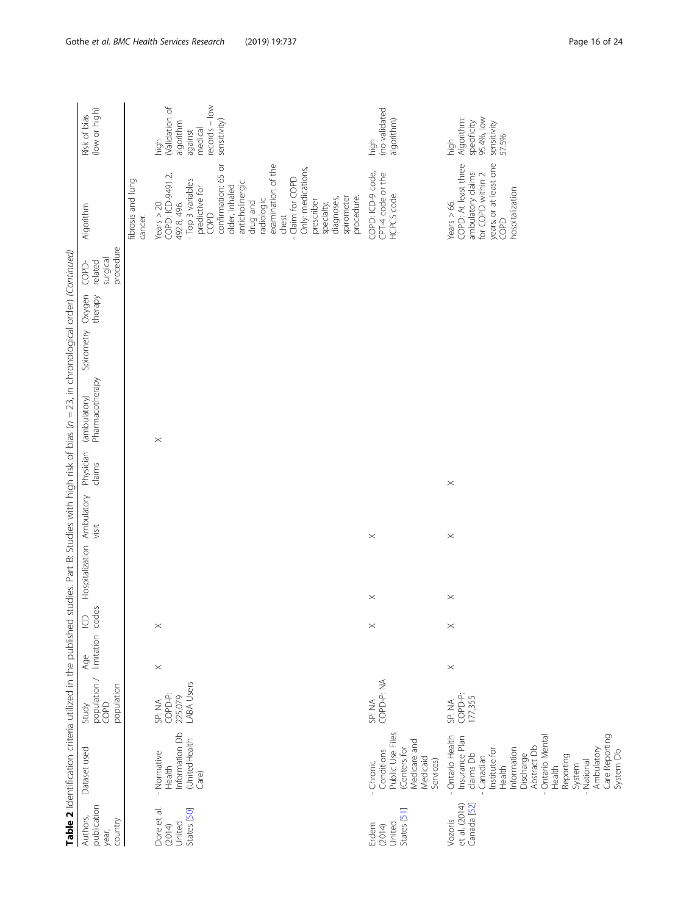|                                                |                                                                                                                                                                                                                                               |                                                        |                       |                 |                            |                       |                     | Table 2 Identification criteria utilized in the published studies. Part B: Studies with high risk of bias (n = 23, in chronological order) (Continued) |            |                   |                                           |                                                                                                                                                                                                                                                                                                                                      |                                                                                              |
|------------------------------------------------|-----------------------------------------------------------------------------------------------------------------------------------------------------------------------------------------------------------------------------------------------|--------------------------------------------------------|-----------------------|-----------------|----------------------------|-----------------------|---------------------|--------------------------------------------------------------------------------------------------------------------------------------------------------|------------|-------------------|-------------------------------------------|--------------------------------------------------------------------------------------------------------------------------------------------------------------------------------------------------------------------------------------------------------------------------------------------------------------------------------------|----------------------------------------------------------------------------------------------|
| publication<br>Authors,<br>country<br>year,    | Dataset used                                                                                                                                                                                                                                  | Study<br>population / limitation<br>population<br>COPD |                       | codes<br>$\cup$ | Hospitalization Ambulatory | visit                 | Physician<br>claims | (ambulatory)<br>Pharmacotherapy                                                                                                                        | Spirometry | Oxygen<br>therapy | procedure<br>surgical<br>related<br>COPD- | Algorithm                                                                                                                                                                                                                                                                                                                            | (low or high)<br>Risk of bias                                                                |
|                                                |                                                                                                                                                                                                                                               |                                                        |                       |                 |                            |                       |                     |                                                                                                                                                        |            |                   |                                           | fibrosis and lung<br>cancer.                                                                                                                                                                                                                                                                                                         |                                                                                              |
| Dore et al.<br>States [50]<br>United<br>(2014) | Information Db<br>(UnitedHealth<br>Normative<br>Health<br>Care)                                                                                                                                                                               | LABA Users<br>COPD-P:<br>225,079<br>SP: NA             | $\times$              | $\times$        |                            |                       |                     | $\times$                                                                                                                                               |            |                   |                                           | confirmation: 65 or<br>examination of the<br>Only: medications,<br>COPD: ICD-9491.2<br>- Claim for COPD<br>- Top 3 variables<br>anticholinergic<br>older, inhaled<br>predictive for<br>spirometer<br>procedure.<br>diagnoses,<br>radiologic<br>prescriber<br>drug and<br>Years $>$ 20.<br>492.8, 496.<br>specialty,<br>COPD<br>chest | $records - low$<br>(Validation of<br>sensitivity)<br>algorithm<br>medical<br>against<br>high |
| States [51]<br>United<br>Erdem<br>(2014)       | Conditions<br>Public Use Files<br>Medicare and<br>(Centers for<br>Medicaid<br>Services)<br>Chronic                                                                                                                                            | COPD-P: NA<br>SP: NA                                   |                       | $\times$        | $\boldsymbol{\times}$      | $\boldsymbol{\times}$ |                     |                                                                                                                                                        |            |                   |                                           | COPD: ICD-9 code,<br>CPT-4 code or the<br>HCPCS code.                                                                                                                                                                                                                                                                                | (no validated<br>algorithm)<br>high                                                          |
| et al. (2014)<br>Canada [52]<br>Vozoris        | Care Reporting<br>System Db<br>Ontario Health<br>- Ontario Mental<br>Insurance Plan<br>Abstract Db<br>Information<br>Ambulatory<br>Institute for<br>Discharge<br>claims Db<br>Reporting<br>Canadian<br>National<br>System<br>Health<br>Health | COPD-P:<br>177,355<br>SP: NA                           | $\boldsymbol{\times}$ | $\times$        | $\boldsymbol{\times}$      | $\times$              | $\times$            |                                                                                                                                                        |            |                   |                                           | years, or at least one<br>COPD<br>COPD: At least three<br>ambulatory claims<br>for COPD within 2<br>hospitalization<br>Years $> 66$ .                                                                                                                                                                                                | 95.4%, low<br>Algorithm:<br>specificity<br>sensitivity<br>57.5%<br>high                      |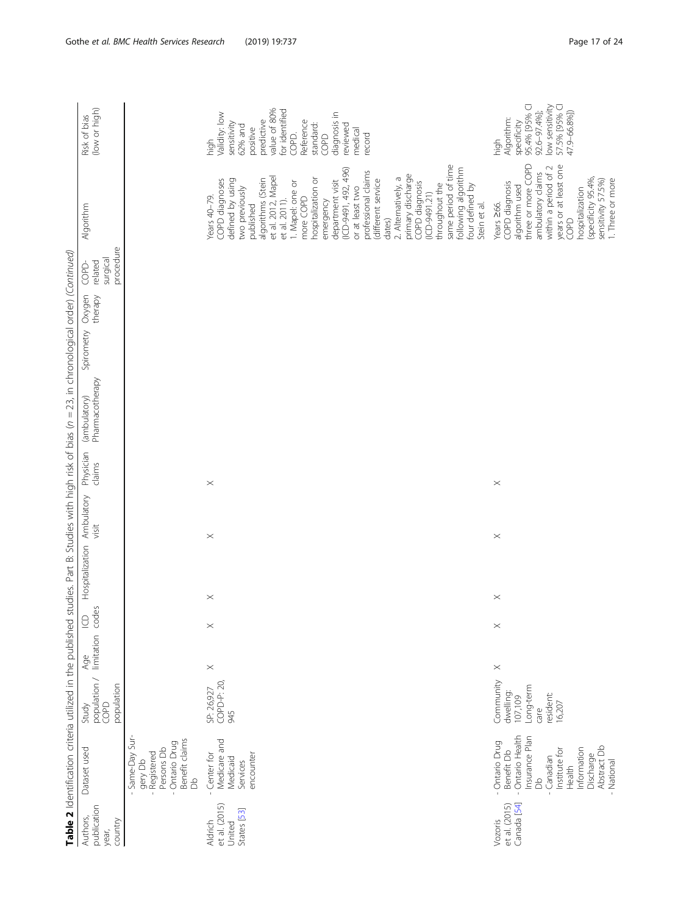| Table 2 Identification criteria utilized in the published<br>Dataset used     | Study | Age                   | $\Xi$           | Hospitalization Ambulatory |          | Physician | (ambulatory)    | Spirometry | Oxygen  | COPD                             | Algorithm                                                                                                                                                                                                                                                                                                                                                                                                                                                                                                                        | Risk of bias                                                                                                                                                                                            |
|-------------------------------------------------------------------------------|-------|-----------------------|-----------------|----------------------------|----------|-----------|-----------------|------------|---------|----------------------------------|----------------------------------------------------------------------------------------------------------------------------------------------------------------------------------------------------------------------------------------------------------------------------------------------------------------------------------------------------------------------------------------------------------------------------------------------------------------------------------------------------------------------------------|---------------------------------------------------------------------------------------------------------------------------------------------------------------------------------------------------------|
| population /<br>population<br>COPD                                            |       | limitation            | des<br>$\infty$ |                            | visit    | claims    | Pharmacotherapy |            | therapy | procedure<br>surgical<br>related |                                                                                                                                                                                                                                                                                                                                                                                                                                                                                                                                  | (low or high)                                                                                                                                                                                           |
|                                                                               |       |                       |                 |                            |          |           |                 |            |         |                                  |                                                                                                                                                                                                                                                                                                                                                                                                                                                                                                                                  |                                                                                                                                                                                                         |
| COPD-P: 20,<br>SP: 26,927<br>945                                              |       | $\boldsymbol{\times}$ | $\times$        | $\times$                   | $\times$ | $\times$  |                 |            |         |                                  | same period of time<br>following algorithm<br>$(ICD-9491, 492, 496)$<br>professional claims<br>primary discharge<br>et al. 2012, Mapel<br>2. Alternatively, a<br>hospitalization or<br>algorithms (Stein<br>(different service<br>defined by using<br>COPD diagnoses<br>department visit<br>1. Mapel: one or<br>COPD diagnosis<br>throughout the<br>four defined by<br>two previously<br>or at least two<br>$(ICD-9491.21)$<br>Years $40-79$ .<br>more COPD<br>et al. 2011).<br>emergency<br>Stein et al.<br>published<br>dates) | value of 80%<br>for identified<br>Validity: low<br>diagnosis in<br>predictive<br>Reference<br>sensitivity<br>standard:<br>reviewed<br>62% and<br>positive<br>medical<br>record<br>COPD.<br>COPD<br>high |
| Community<br>Long-term<br>dwelling:<br>resident:<br>107,109<br>16,207<br>care |       | $\times$              | $\times$        | $\times$                   | $\times$ | $\times$  |                 |            |         |                                  | three or more COPD<br>years or at least one<br>within a period of 2<br>ambulatory claims<br>(specificity 95.4%,<br>sensitivity 57.5%)<br>1. Three or more<br>COPD diagnosis<br>algorithm used<br>hospitalization<br>Years 266.<br>COPD                                                                                                                                                                                                                                                                                           | 95.4% [95% C]<br>low sensitivity<br>57.5% [95% C]<br>92.6-97.4%];<br>47.9-66.8%])<br>Algorithm:<br>specificity<br>high                                                                                  |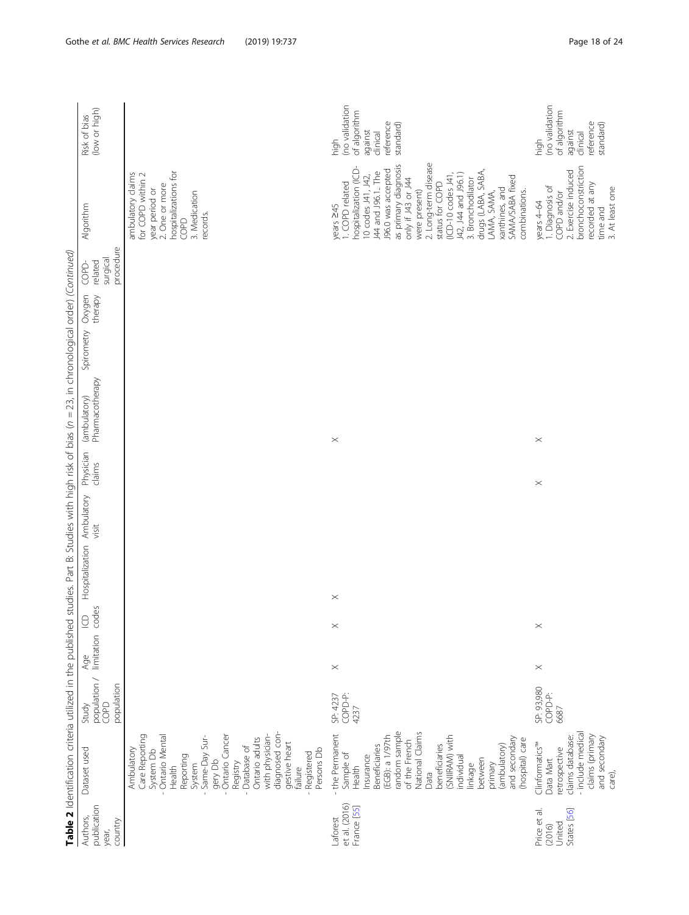|                                                 | Table 2 Identification criteria utilized in the published                                                                                                                                                                                                                                  |                                             |                         |          |                 |                     |                     | studies. Part B: Studies with high risk of bias (n = 23, in chronological order) (Continued) |                                 |                                          |                                                                                                                                                                                                                                                                                                                                                                                               |                                                                                         |
|-------------------------------------------------|--------------------------------------------------------------------------------------------------------------------------------------------------------------------------------------------------------------------------------------------------------------------------------------------|---------------------------------------------|-------------------------|----------|-----------------|---------------------|---------------------|----------------------------------------------------------------------------------------------|---------------------------------|------------------------------------------|-----------------------------------------------------------------------------------------------------------------------------------------------------------------------------------------------------------------------------------------------------------------------------------------------------------------------------------------------------------------------------------------------|-----------------------------------------------------------------------------------------|
| publication<br>Authors,<br>country<br>year,     | Dataset used                                                                                                                                                                                                                                                                               | population /<br>population<br>COPD<br>Study | limitation codes<br>Age | $\cup$   | Hospitalization | Ambulatory<br>visit | Physician<br>claims | Pharmacotherapy<br>(ambulatory)                                                              | Oxygen<br>therapy<br>Spirometry | procedure<br>surgical<br>related<br>COPD | Algorithm                                                                                                                                                                                                                                                                                                                                                                                     | (low or high)<br>Risk of bias                                                           |
|                                                 | diagnosed con-<br>Care Reporting<br>with physician-<br>Ontario Mental<br>Ontario Cancer<br>Same-Day Sur-<br>Ontario adults<br>gestive heart<br>- Database of<br>Ambulatory<br>System Db<br>Persons Db<br>Registered<br>Reporting<br>Registry<br>gery Db<br>System<br>Health<br>failure     |                                             |                         |          |                 |                     |                     |                                                                                              |                                 |                                          | hospitalizations for<br>ambulatory claims<br>for COPD within 2<br>2. One or more<br>year period or<br>3. Medication<br>records.<br>COPD                                                                                                                                                                                                                                                       |                                                                                         |
| et al. (2016)<br>France [55]<br>Laforest        | random sample<br>National Claims<br>- the Permanent<br>(EGB): a 1/97th<br>(SNIIRAM) with<br>and secondary<br>of the French<br>(hospital) care<br>beneficiaries<br>(ambulatory)<br>Beneficiaries<br>Sample of<br>Insurance<br>individual<br>between<br>primary<br>Health<br>linkage<br>Data | SP: 4237<br>COPD-P:<br>4237                 | $\boldsymbol{\times}$   | $\times$ | $\times$        |                     |                     | $\boldsymbol{\times}$                                                                        |                                 |                                          | 2. Long-term disease<br>as primary diagnosis<br>hospitalization (ICD-<br>J96.0 was accepted<br>J44 and J96.1 The<br>drugs (LABA, SABA,<br>(ICD-10 codes J41,<br>J42, J44 and J96.1)<br>10 codes J41, J42,<br>SAMA/SABA fixed<br>only if J43 or J44<br>3. Bronchodilator<br>I. COPD related<br>status for COPD<br>xanthines, and<br>combinations.<br>were present)<br>LAMA, SAMA,<br>years 245 | (no validation<br>of algorithm<br>reference<br>standard)<br>against<br>clinical<br>high |
| States [56]<br>Price et al.<br>United<br>(2016) | - include medical<br>claims (primary<br>and secondary<br>claims database:<br>Clinformatics <sup>™</sup><br>retrospective<br>Data Mart<br>care),                                                                                                                                            | SP: 93,980<br>COPD-P:<br>6687               | $\times$                | $\times$ |                 |                     | $\times$            | $\times$                                                                                     |                                 |                                          | bronchoconstriction<br>2. Exercise induced<br>recorded at any<br>I. Diagnosis of<br>3. At least one<br>COPD and/or<br>years 4-64<br>time and                                                                                                                                                                                                                                                  | (no validation<br>of algorithm<br>reference<br>standard)<br>against<br>clinical<br>high |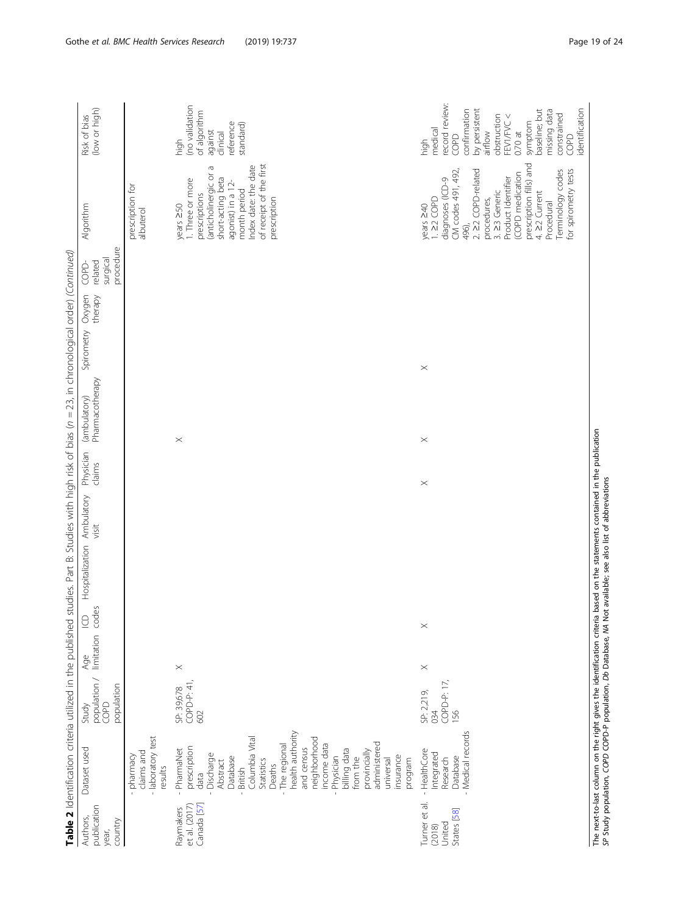|                                                  |                                                                                                                                                                                                                                                                                                                            |                                                                                  |          |                 |                            |       |                     | Table 2 Identification criteria utilized in the published studies. Part B: Studies with high risk of bias (n = 23, in chronological order) (Continued) |            |                   |                                           |                                                                                                                                                                                                                                                                                   |                                                                                                                                                                                                                      |
|--------------------------------------------------|----------------------------------------------------------------------------------------------------------------------------------------------------------------------------------------------------------------------------------------------------------------------------------------------------------------------------|----------------------------------------------------------------------------------|----------|-----------------|----------------------------|-------|---------------------|--------------------------------------------------------------------------------------------------------------------------------------------------------|------------|-------------------|-------------------------------------------|-----------------------------------------------------------------------------------------------------------------------------------------------------------------------------------------------------------------------------------------------------------------------------------|----------------------------------------------------------------------------------------------------------------------------------------------------------------------------------------------------------------------|
| publication<br>Authors,<br>country<br>year,      | Dataset used                                                                                                                                                                                                                                                                                                               | $\frac{Age}{\text{population}}$<br>population / limitation<br>COPD<br>population |          | codes<br>$\cup$ | Hospitalization Ambulatory | visit | Physician<br>claims | Pharmacotherapy<br>(ambulatory)                                                                                                                        | Spirometry | Oxygen<br>therapy | procedure<br>surgical<br>related<br>COPD- | Algorithm                                                                                                                                                                                                                                                                         | (low or high)<br>Risk of bias                                                                                                                                                                                        |
|                                                  | - laboratory test<br>claims and<br>pharmacy<br>results                                                                                                                                                                                                                                                                     |                                                                                  |          |                 |                            |       |                     |                                                                                                                                                        |            |                   |                                           | prescription for<br>albuterol                                                                                                                                                                                                                                                     |                                                                                                                                                                                                                      |
| Canada [57]<br>et al. (2017)<br>Raymakers        | health authority<br>neighborhood<br>Columbia Vital<br>administered<br>income data<br>The regional<br>prescription<br>and census<br>PharmaNet<br>billing data<br>provincially<br>Discharge<br>Physician<br>insurance<br>Database<br>from the<br>program<br>universal<br>Statistics<br>Abstract<br>Deaths<br>British<br>data | SP: 39,678<br>COPD-P: 41,<br>602                                                 | $\times$ |                 |                            |       |                     | $\times$                                                                                                                                               |            |                   |                                           | of receipt of the first<br>Index date: the date<br>$\sigma$<br>(anticholinergic or<br>short-acting beta<br>I. Three or more<br>agonist) in a 12-<br>month period<br>prescriptions<br>prescription<br>$years \ge 50$                                                               | (no validation<br>of algorithm<br>reference<br>standard)<br>against<br>clinical<br>high                                                                                                                              |
| Turner et al.<br>States [58]<br>United<br>(2018) | Medical records<br>HealthCore<br>Integrated<br>Database<br>Research<br>$\overline{1}$                                                                                                                                                                                                                                      | COPD-P: 17,<br>SP: 2,219,<br>034<br>156                                          | $\times$ | $\times$        |                            |       | $\times$            | $\times$                                                                                                                                               | $\times$   |                   |                                           | prescription fills) and<br>2. 22 COPD-related<br>for spirometry tests<br>CM codes 491, 492,<br>Terminology codes<br>(COPD medication<br>Product Identifier<br>diagnoses (ICD-9<br>3. 23 Generic<br>4. 22 Current<br>$.22$ COPD<br>procedures,<br>Procedural<br>years 240<br>496), | record review:<br>identification<br>by persistent<br>baseline; but<br>missing data<br>confirmation<br>constrained<br>FEV1/FVC <<br>obstruction<br>symptom<br>medical<br>airflow<br>$0.70$ at<br>COPD<br>COPD<br>high |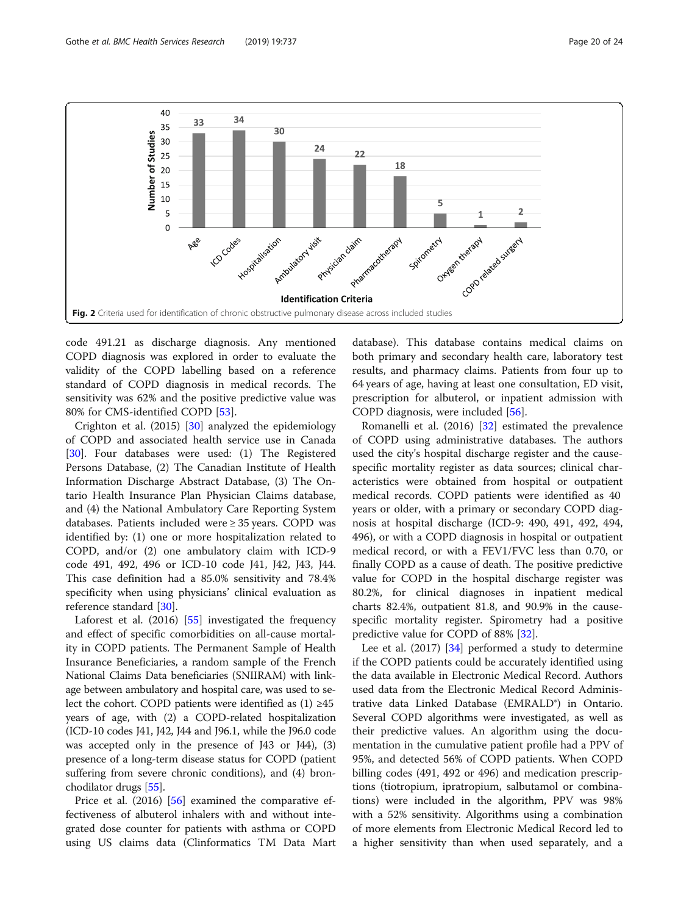<span id="page-19-0"></span>

code 491.21 as discharge diagnosis. Any mentioned COPD diagnosis was explored in order to evaluate the validity of the COPD labelling based on a reference standard of COPD diagnosis in medical records. The sensitivity was 62% and the positive predictive value was 80% for CMS-identified COPD [[53](#page-23-0)].

Crighton et al. (2015) [\[30\]](#page-23-0) analyzed the epidemiology of COPD and associated health service use in Canada [[30\]](#page-23-0). Four databases were used: (1) The Registered Persons Database, (2) The Canadian Institute of Health Information Discharge Abstract Database, (3) The Ontario Health Insurance Plan Physician Claims database, and (4) the National Ambulatory Care Reporting System databases. Patients included were ≥ 35 years. COPD was identified by: (1) one or more hospitalization related to COPD, and/or (2) one ambulatory claim with ICD-9 code 491, 492, 496 or ICD-10 code J41, J42, J43, J44. This case definition had a 85.0% sensitivity and 78.4% specificity when using physicians' clinical evaluation as reference standard [[30](#page-23-0)].

Laforest et al. (2016) [\[55](#page-23-0)] investigated the frequency and effect of specific comorbidities on all-cause mortality in COPD patients. The Permanent Sample of Health Insurance Beneficiaries, a random sample of the French National Claims Data beneficiaries (SNIIRAM) with linkage between ambulatory and hospital care, was used to select the cohort. COPD patients were identified as  $(1) \geq 45$ years of age, with (2) a COPD-related hospitalization (ICD-10 codes J41, J42, J44 and J96.1, while the J96.0 code was accepted only in the presence of J43 or J44), (3) presence of a long-term disease status for COPD (patient suffering from severe chronic conditions), and (4) bronchodilator drugs [[55\]](#page-23-0).

Price et al. (2016) [[56\]](#page-23-0) examined the comparative effectiveness of albuterol inhalers with and without integrated dose counter for patients with asthma or COPD using US claims data (Clinformatics TM Data Mart database). This database contains medical claims on both primary and secondary health care, laboratory test results, and pharmacy claims. Patients from four up to 64 years of age, having at least one consultation, ED visit, prescription for albuterol, or inpatient admission with COPD diagnosis, were included [[56\]](#page-23-0).

Romanelli et al. (2016) [\[32\]](#page-23-0) estimated the prevalence of COPD using administrative databases. The authors used the city's hospital discharge register and the causespecific mortality register as data sources; clinical characteristics were obtained from hospital or outpatient medical records. COPD patients were identified as 40 years or older, with a primary or secondary COPD diagnosis at hospital discharge (ICD-9: 490, 491, 492, 494, 496), or with a COPD diagnosis in hospital or outpatient medical record, or with a FEV1/FVC less than 0.70, or finally COPD as a cause of death. The positive predictive value for COPD in the hospital discharge register was 80.2%, for clinical diagnoses in inpatient medical charts 82.4%, outpatient 81.8, and 90.9% in the causespecific mortality register. Spirometry had a positive predictive value for COPD of 88% [\[32\]](#page-23-0).

Lee et al. (2017) [[34\]](#page-23-0) performed a study to determine if the COPD patients could be accurately identified using the data available in Electronic Medical Record. Authors used data from the Electronic Medical Record Administrative data Linked Database (EMRALD®) in Ontario. Several COPD algorithms were investigated, as well as their predictive values. An algorithm using the documentation in the cumulative patient profile had a PPV of 95%, and detected 56% of COPD patients. When COPD billing codes (491, 492 or 496) and medication prescriptions (tiotropium, ipratropium, salbutamol or combinations) were included in the algorithm, PPV was 98% with a 52% sensitivity. Algorithms using a combination of more elements from Electronic Medical Record led to a higher sensitivity than when used separately, and a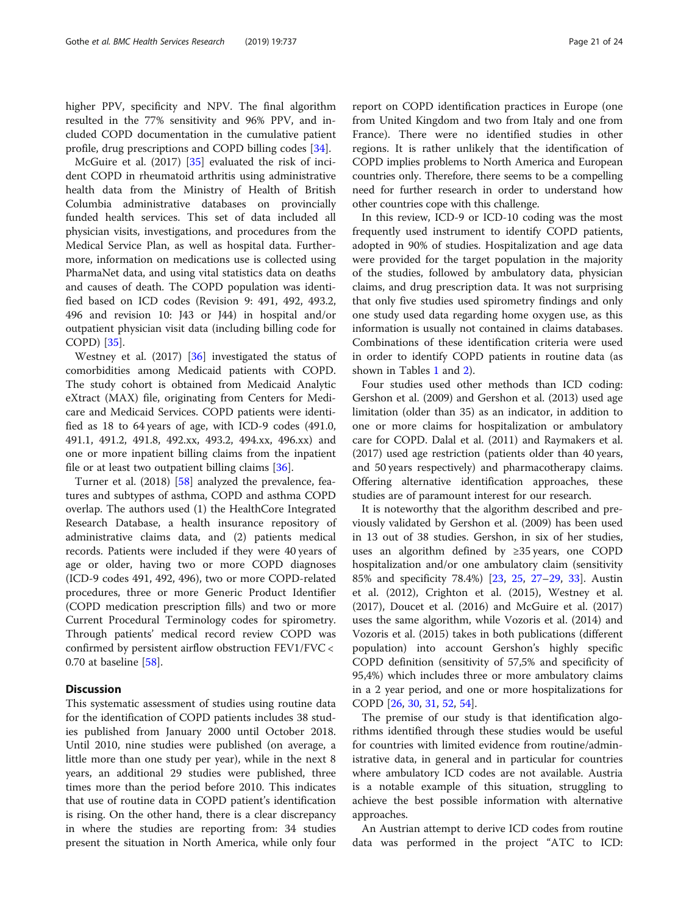higher PPV, specificity and NPV. The final algorithm resulted in the 77% sensitivity and 96% PPV, and included COPD documentation in the cumulative patient profile, drug prescriptions and COPD billing codes [\[34](#page-23-0)].

McGuire et al. (2017) [[35\]](#page-23-0) evaluated the risk of incident COPD in rheumatoid arthritis using administrative health data from the Ministry of Health of British Columbia administrative databases on provincially funded health services. This set of data included all physician visits, investigations, and procedures from the Medical Service Plan, as well as hospital data. Furthermore, information on medications use is collected using PharmaNet data, and using vital statistics data on deaths and causes of death. The COPD population was identified based on ICD codes (Revision 9: 491, 492, 493.2, 496 and revision 10: J43 or J44) in hospital and/or outpatient physician visit data (including billing code for COPD) [[35\]](#page-23-0).

Westney et al. (2017) [\[36](#page-23-0)] investigated the status of comorbidities among Medicaid patients with COPD. The study cohort is obtained from Medicaid Analytic eXtract (MAX) file, originating from Centers for Medicare and Medicaid Services. COPD patients were identified as 18 to 64 years of age, with ICD-9 codes (491.0, 491.1, 491.2, 491.8, 492.xx, 493.2, 494.xx, 496.xx) and one or more inpatient billing claims from the inpatient file or at least two outpatient billing claims [[36\]](#page-23-0).

Turner et al. (2018) [\[58](#page-23-0)] analyzed the prevalence, features and subtypes of asthma, COPD and asthma COPD overlap. The authors used (1) the HealthCore Integrated Research Database, a health insurance repository of administrative claims data, and (2) patients medical records. Patients were included if they were 40 years of age or older, having two or more COPD diagnoses (ICD-9 codes 491, 492, 496), two or more COPD-related procedures, three or more Generic Product Identifier (COPD medication prescription fills) and two or more Current Procedural Terminology codes for spirometry. Through patients' medical record review COPD was confirmed by persistent airflow obstruction FEV1/FVC < 0.70 at baseline [[58\]](#page-23-0).

# **Discussion**

This systematic assessment of studies using routine data for the identification of COPD patients includes 38 studies published from January 2000 until October 2018. Until 2010, nine studies were published (on average, a little more than one study per year), while in the next 8 years, an additional 29 studies were published, three times more than the period before 2010. This indicates that use of routine data in COPD patient's identification is rising. On the other hand, there is a clear discrepancy in where the studies are reporting from: 34 studies present the situation in North America, while only four report on COPD identification practices in Europe (one from United Kingdom and two from Italy and one from France). There were no identified studies in other regions. It is rather unlikely that the identification of COPD implies problems to North America and European countries only. Therefore, there seems to be a compelling need for further research in order to understand how other countries cope with this challenge.

In this review, ICD-9 or ICD-10 coding was the most frequently used instrument to identify COPD patients, adopted in 90% of studies. Hospitalization and age data were provided for the target population in the majority of the studies, followed by ambulatory data, physician claims, and drug prescription data. It was not surprising that only five studies used spirometry findings and only one study used data regarding home oxygen use, as this information is usually not contained in claims databases. Combinations of these identification criteria were used in order to identify COPD patients in routine data (as shown in Tables [1](#page-4-0) and [2\)](#page-10-0).

Four studies used other methods than ICD coding: Gershon et al. (2009) and Gershon et al. (2013) used age limitation (older than 35) as an indicator, in addition to one or more claims for hospitalization or ambulatory care for COPD. Dalal et al. (2011) and Raymakers et al. (2017) used age restriction (patients older than 40 years, and 50 years respectively) and pharmacotherapy claims. Offering alternative identification approaches, these studies are of paramount interest for our research.

It is noteworthy that the algorithm described and previously validated by Gershon et al. (2009) has been used in 13 out of 38 studies. Gershon, in six of her studies, uses an algorithm defined by ≥35 years, one COPD hospitalization and/or one ambulatory claim (sensitivity 85% and specificity 78.4%) [[23,](#page-22-0) [25](#page-22-0), [27](#page-22-0)–[29,](#page-23-0) [33](#page-23-0)]. Austin et al. (2012), Crighton et al. (2015), Westney et al. (2017), Doucet et al. (2016) and McGuire et al. (2017) uses the same algorithm, while Vozoris et al. (2014) and Vozoris et al. (2015) takes in both publications (different population) into account Gershon's highly specific COPD definition (sensitivity of 57,5% and specificity of 95,4%) which includes three or more ambulatory claims in a 2 year period, and one or more hospitalizations for COPD [[26,](#page-22-0) [30,](#page-23-0) [31](#page-23-0), [52](#page-23-0), [54](#page-23-0)].

The premise of our study is that identification algorithms identified through these studies would be useful for countries with limited evidence from routine/administrative data, in general and in particular for countries where ambulatory ICD codes are not available. Austria is a notable example of this situation, struggling to achieve the best possible information with alternative approaches.

An Austrian attempt to derive ICD codes from routine data was performed in the project "ATC to ICD: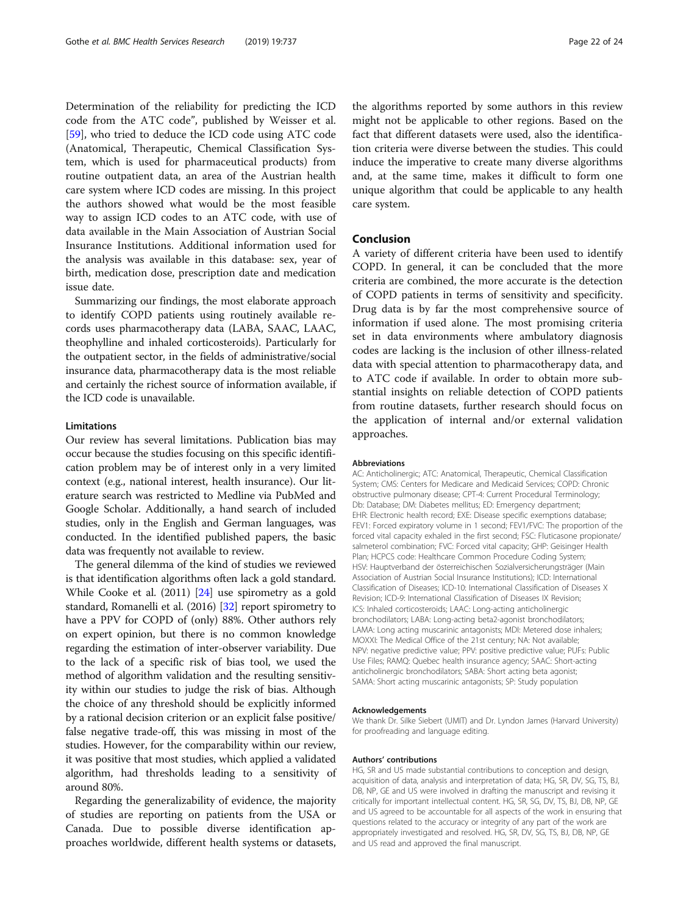Determination of the reliability for predicting the ICD code from the ATC code", published by Weisser et al. [[59\]](#page-23-0), who tried to deduce the ICD code using ATC code (Anatomical, Therapeutic, Chemical Classification System, which is used for pharmaceutical products) from routine outpatient data, an area of the Austrian health care system where ICD codes are missing. In this project the authors showed what would be the most feasible way to assign ICD codes to an ATC code, with use of data available in the Main Association of Austrian Social Insurance Institutions. Additional information used for the analysis was available in this database: sex, year of birth, medication dose, prescription date and medication issue date.

Summarizing our findings, the most elaborate approach to identify COPD patients using routinely available records uses pharmacotherapy data (LABA, SAAC, LAAC, theophylline and inhaled corticosteroids). Particularly for the outpatient sector, in the fields of administrative/social insurance data, pharmacotherapy data is the most reliable and certainly the richest source of information available, if the ICD code is unavailable.

#### Limitations

Our review has several limitations. Publication bias may occur because the studies focusing on this specific identification problem may be of interest only in a very limited context (e.g., national interest, health insurance). Our literature search was restricted to Medline via PubMed and Google Scholar. Additionally, a hand search of included studies, only in the English and German languages, was conducted. In the identified published papers, the basic data was frequently not available to review.

The general dilemma of the kind of studies we reviewed is that identification algorithms often lack a gold standard. While Cooke et al. (2011) [[24](#page-22-0)] use spirometry as a gold standard, Romanelli et al. (2016) [\[32\]](#page-23-0) report spirometry to have a PPV for COPD of (only) 88%. Other authors rely on expert opinion, but there is no common knowledge regarding the estimation of inter-observer variability. Due to the lack of a specific risk of bias tool, we used the method of algorithm validation and the resulting sensitivity within our studies to judge the risk of bias. Although the choice of any threshold should be explicitly informed by a rational decision criterion or an explicit false positive/ false negative trade-off, this was missing in most of the studies. However, for the comparability within our review, it was positive that most studies, which applied a validated algorithm, had thresholds leading to a sensitivity of around 80%.

Regarding the generalizability of evidence, the majority of studies are reporting on patients from the USA or Canada. Due to possible diverse identification approaches worldwide, different health systems or datasets, the algorithms reported by some authors in this review might not be applicable to other regions. Based on the fact that different datasets were used, also the identification criteria were diverse between the studies. This could induce the imperative to create many diverse algorithms and, at the same time, makes it difficult to form one unique algorithm that could be applicable to any health care system.

# Conclusion

A variety of different criteria have been used to identify COPD. In general, it can be concluded that the more criteria are combined, the more accurate is the detection of COPD patients in terms of sensitivity and specificity. Drug data is by far the most comprehensive source of information if used alone. The most promising criteria set in data environments where ambulatory diagnosis codes are lacking is the inclusion of other illness-related data with special attention to pharmacotherapy data, and to ATC code if available. In order to obtain more substantial insights on reliable detection of COPD patients from routine datasets, further research should focus on the application of internal and/or external validation approaches.

#### Abbreviations

AC: Anticholinergic; ATC: Anatomical, Therapeutic, Chemical Classification System; CMS: Centers for Medicare and Medicaid Services; COPD: Chronic obstructive pulmonary disease; CPT-4: Current Procedural Terminology; Db: Database; DM: Diabetes mellitus; ED: Emergency department; EHR: Electronic health record; EXE: Disease specific exemptions database; FEV1: Forced expiratory volume in 1 second; FEV1/FVC: The proportion of the forced vital capacity exhaled in the first second; FSC: Fluticasone propionate/ salmeterol combination; FVC: Forced vital capacity; GHP: Geisinger Health Plan; HCPCS code: Healthcare Common Procedure Coding System; HSV: Hauptverband der österreichischen Sozialversicherungsträger (Main Association of Austrian Social Insurance Institutions); ICD: International Classification of Diseases; ICD-10: International Classification of Diseases X Revision; ICD-9: International Classification of Diseases IX Revision; ICS: Inhaled corticosteroids; LAAC: Long-acting anticholinergic bronchodilators; LABA: Long-acting beta2-agonist bronchodilators; LAMA: Long acting muscarinic antagonists; MDI: Metered dose inhalers; MOXXI: The Medical Office of the 21st century; NA: Not available; NPV: negative predictive value; PPV: positive predictive value; PUFs: Public Use Files; RAMQ: Quebec health insurance agency; SAAC: Short-acting anticholinergic bronchodilators; SABA: Short acting beta agonist; SAMA: Short acting muscarinic antagonists; SP: Study population

#### Acknowledgements

We thank Dr. Silke Siebert (UMIT) and Dr. Lyndon James (Harvard University) for proofreading and language editing.

#### Authors' contributions

HG, SR and US made substantial contributions to conception and design, acquisition of data, analysis and interpretation of data; HG, SR, DV, SG, TS, BJ, DB, NP, GE and US were involved in drafting the manuscript and revising it critically for important intellectual content. HG, SR, SG, DV, TS, BJ, DB, NP, GE and US agreed to be accountable for all aspects of the work in ensuring that questions related to the accuracy or integrity of any part of the work are appropriately investigated and resolved. HG, SR, DV, SG, TS, BJ, DB, NP, GE and US read and approved the final manuscript.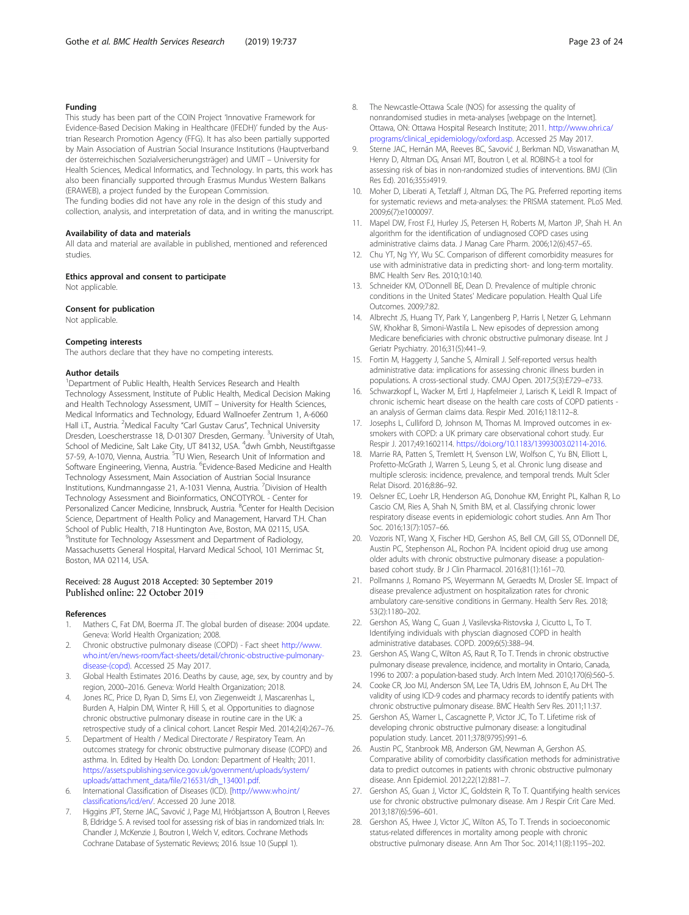### <span id="page-22-0"></span>Funding

This study has been part of the COIN Project 'Innovative Framework for Evidence-Based Decision Making in Healthcare (IFEDH)' funded by the Austrian Research Promotion Agency (FFG). It has also been partially supported by Main Association of Austrian Social Insurance Institutions (Hauptverband der österreichischen Sozialversicherungsträger) and UMIT – University for Health Sciences, Medical Informatics, and Technology. In parts, this work has also been financially supported through Erasmus Mundus Western Balkans (ERAWEB), a project funded by the European Commission.

The funding bodies did not have any role in the design of this study and collection, analysis, and interpretation of data, and in writing the manuscript.

#### Availability of data and materials

All data and material are available in published, mentioned and referenced studies.

#### Ethics approval and consent to participate

Not applicable.

#### Consent for publication

Not applicable.

#### Competing interests

The authors declare that they have no competing interests.

#### Author details

<sup>1</sup>Department of Public Health, Health Services Research and Health Technology Assessment, Institute of Public Health, Medical Decision Making and Health Technology Assessment, UMIT – University for Health Sciences, Medical Informatics and Technology, Eduard Wallnoefer Zentrum 1, A-6060 Hall i.T., Austria. <sup>2</sup>Medical Faculty "Carl Gustav Carus", Technical University Dresden, Loescherstrasse 18, D-01307 Dresden, Germany. <sup>3</sup>University of Utah, School of Medicine, Salt Lake City, UT 84132, USA. <sup>4</sup>dwh Gmbh, Neustiftgasse 57-59, A-1070, Vienna, Austria. <sup>5</sup>TU Wien, Research Unit of Information and Software Engineering, Vienna, Austria. <sup>6</sup>Evidence-Based Medicine and Health Technology Assessment, Main Association of Austrian Social Insurance Institutions, Kundmanngasse 21, A-1031 Vienna, Austria. <sup>7</sup> Division of Health Technology Assessment and Bioinformatics, ONCOTYROL - Center for Personalized Cancer Medicine, Innsbruck, Austria. <sup>8</sup>Center for Health Decision Science, Department of Health Policy and Management, Harvard T.H. Chan School of Public Health, 718 Huntington Ave, Boston, MA 02115, USA. <sup>9</sup>Institute for Technology Assessment and Department of Radiology, Massachusetts General Hospital, Harvard Medical School, 101 Merrimac St, Boston, MA 02114, USA.

# Received: 28 August 2018 Accepted: 30 September 2019

#### References

- 1. Mathers C, Fat DM, Boerma JT. The global burden of disease: 2004 update. Geneva: World Health Organization; 2008.
- 2. Chronic obstructive pulmonary disease (COPD) Fact sheet [http://www.](http://www.who.int/en/news-room/fact-sheets/detail/chronic-obstructive-pulmonary-disease-(copd)) [who.int/en/news-room/fact-sheets/detail/chronic-obstructive-pulmonary](http://www.who.int/en/news-room/fact-sheets/detail/chronic-obstructive-pulmonary-disease-(copd))[disease-\(copd\).](http://www.who.int/en/news-room/fact-sheets/detail/chronic-obstructive-pulmonary-disease-(copd)) Accessed 25 May 2017.
- 3. Global Health Estimates 2016. Deaths by cause, age, sex, by country and by region, 2000–2016. Geneva: World Health Organization; 2018.
- 4. Jones RC, Price D, Ryan D, Sims EJ, von Ziegenweidt J, Mascarenhas L, Burden A, Halpin DM, Winter R, Hill S, et al. Opportunities to diagnose chronic obstructive pulmonary disease in routine care in the UK: a retrospective study of a clinical cohort. Lancet Respir Med. 2014;2(4):267–76.
- 5. Department of Health / Medical Directorate / Respiratory Team. An outcomes strategy for chronic obstructive pulmonary disease (COPD) and asthma. In. Edited by Health Do. London: Department of Health; 2011. [https://assets.publishing.service.gov.uk/government/uploads/system/](https://assets.publishing.service.gov.uk/government/uploads/system/uploads/attachment_data/file/216531/dh_134001.pdf) [uploads/attachment\\_data/file/216531/dh\\_134001.pdf.](https://assets.publishing.service.gov.uk/government/uploads/system/uploads/attachment_data/file/216531/dh_134001.pdf)
- 6. International Classification of Diseases (ICD). [[http://www.who.int/](http://www.who.int/classifications/icd/en/) [classifications/icd/en/.](http://www.who.int/classifications/icd/en/) Accessed 20 June 2018.
- 7. Higgins JPT, Sterne JAC, Savović J, Page MJ, Hróbjartsson A, Boutron I, Reeves B, Eldridge S. A revised tool for assessing risk of bias in randomized trials. In: Chandler J, McKenzie J, Boutron I, Welch V, editors. Cochrane Methods Cochrane Database of Systematic Reviews; 2016. Issue 10 (Suppl 1).
- 8. The Newcastle-Ottawa Scale (NOS) for assessing the quality of nonrandomised studies in meta-analyses [webpage on the Internet]. Ottawa, ON: Ottawa Hospital Research Institute; 2011. [http://www.ohri.ca/](http://www.ohri.ca/programs/clinical_epidemiology/oxford.asp) [programs/clinical\\_epidemiology/oxford.asp](http://www.ohri.ca/programs/clinical_epidemiology/oxford.asp). Accessed 25 May 2017.
- Sterne JAC, Hernán MA, Reeves BC, Savović J, Berkman ND, Viswanathan M, Henry D, Altman DG, Ansari MT, Boutron I, et al. ROBINS-I: a tool for assessing risk of bias in non-randomized studies of interventions. BMJ (Clin Res Ed). 2016;355:i4919.
- 10. Moher D, Liberati A, Tetzlaff J, Altman DG, The PG. Preferred reporting items for systematic reviews and meta-analyses: the PRISMA statement. PLoS Med. 2009;6(7):e1000097.
- 11. Mapel DW, Frost FJ, Hurley JS, Petersen H, Roberts M, Marton JP, Shah H. An algorithm for the identification of undiagnosed COPD cases using administrative claims data. J Manag Care Pharm. 2006;12(6):457–65.
- 12. Chu YT, Ng YY, Wu SC. Comparison of different comorbidity measures for use with administrative data in predicting short- and long-term mortality. BMC Health Serv Res. 2010;10:140.
- 13. Schneider KM, O'Donnell BE, Dean D. Prevalence of multiple chronic conditions in the United States' Medicare population. Health Qual Life Outcomes. 2009;7:82.
- 14. Albrecht JS, Huang TY, Park Y, Langenberg P, Harris I, Netzer G, Lehmann SW, Khokhar B, Simoni-Wastila L. New episodes of depression among Medicare beneficiaries with chronic obstructive pulmonary disease. Int J Geriatr Psychiatry. 2016;31(5):441–9.
- 15. Fortin M, Haggerty J, Sanche S, Almirall J. Self-reported versus health administrative data: implications for assessing chronic illness burden in populations. A cross-sectional study. CMAJ Open. 2017;5(3):E729–e733.
- 16. Schwarzkopf L, Wacker M, Ertl J, Hapfelmeier J, Larisch K, Leidl R. Impact of chronic ischemic heart disease on the health care costs of COPD patients an analysis of German claims data. Respir Med. 2016;118:112–8.
- 17. Josephs L, Culliford D, Johnson M, Thomas M. Improved outcomes in exsmokers with COPD: a UK primary care observational cohort study. Eur Respir J. 2017;49:1602114. <https://doi.org/10.1183/13993003.02114-2016>.
- 18. Marrie RA, Patten S, Tremlett H, Svenson LW, Wolfson C, Yu BN, Elliott L, Profetto-McGrath J, Warren S, Leung S, et al. Chronic lung disease and multiple sclerosis: incidence, prevalence, and temporal trends. Mult Scler Relat Disord. 2016;8:86–92.
- 19. Oelsner EC, Loehr LR, Henderson AG, Donohue KM, Enright PL, Kalhan R, Lo Cascio CM, Ries A, Shah N, Smith BM, et al. Classifying chronic lower respiratory disease events in epidemiologic cohort studies. Ann Am Thor Soc. 2016;13(7):1057–66.
- 20. Vozoris NT, Wang X, Fischer HD, Gershon AS, Bell CM, Gill SS, O'Donnell DE, Austin PC, Stephenson AL, Rochon PA. Incident opioid drug use among older adults with chronic obstructive pulmonary disease: a populationbased cohort study. Br J Clin Pharmacol. 2016;81(1):161–70.
- 21. Pollmanns J, Romano PS, Weyermann M, Geraedts M, Drosler SE. Impact of disease prevalence adjustment on hospitalization rates for chronic ambulatory care-sensitive conditions in Germany. Health Serv Res. 2018; 53(2):1180–202.
- 22. Gershon AS, Wang C, Guan J, Vasilevska-Ristovska J, Cicutto L, To T. Identifying individuals with physcian diagnosed COPD in health administrative databases. COPD. 2009;6(5):388–94.
- 23. Gershon AS, Wang C, Wilton AS, Raut R, To T. Trends in chronic obstructive pulmonary disease prevalence, incidence, and mortality in Ontario, Canada, 1996 to 2007: a population-based study. Arch Intern Med. 2010;170(6):560–5.
- 24. Cooke CR, Joo MJ, Anderson SM, Lee TA, Udris EM, Johnson E, Au DH. The validity of using ICD-9 codes and pharmacy records to identify patients with chronic obstructive pulmonary disease. BMC Health Serv Res. 2011;11:37.
- 25. Gershon AS, Warner L, Cascagnette P, Victor JC, To T. Lifetime risk of developing chronic obstructive pulmonary disease: a longitudinal population study. Lancet. 2011;378(9795):991–6.
- 26. Austin PC, Stanbrook MB, Anderson GM, Newman A, Gershon AS. Comparative ability of comorbidity classification methods for administrative data to predict outcomes in patients with chronic obstructive pulmonary disease. Ann Epidemiol. 2012;22(12):881–7.
- 27. Gershon AS, Guan J, Victor JC, Goldstein R, To T. Quantifying health services use for chronic obstructive pulmonary disease. Am J Respir Crit Care Med. 2013;187(6):596–601.
- 28. Gershon AS, Hwee J, Victor JC, Wilton AS, To T. Trends in socioeconomic status-related differences in mortality among people with chronic obstructive pulmonary disease. Ann Am Thor Soc. 2014;11(8):1195–202.